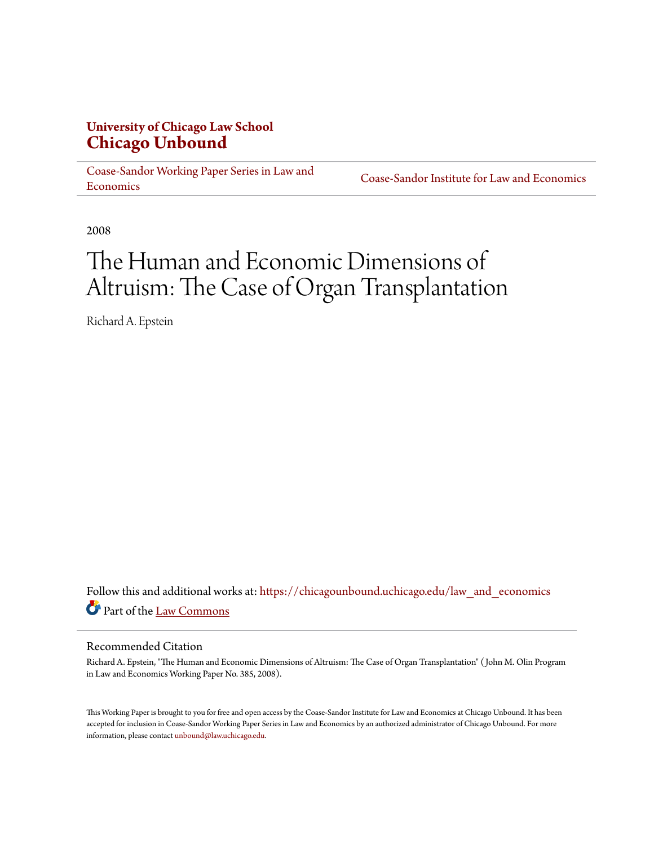## **University of Chicago Law School [Chicago Unbound](https://chicagounbound.uchicago.edu?utm_source=chicagounbound.uchicago.edu%2Flaw_and_economics%2F530&utm_medium=PDF&utm_campaign=PDFCoverPages)**

[Coase-Sandor Working Paper Series in Law and](https://chicagounbound.uchicago.edu/law_and_economics?utm_source=chicagounbound.uchicago.edu%2Flaw_and_economics%2F530&utm_medium=PDF&utm_campaign=PDFCoverPages) [Economics](https://chicagounbound.uchicago.edu/law_and_economics?utm_source=chicagounbound.uchicago.edu%2Flaw_and_economics%2F530&utm_medium=PDF&utm_campaign=PDFCoverPages)

[Coase-Sandor Institute for Law and Economics](https://chicagounbound.uchicago.edu/coase_sandor_institute?utm_source=chicagounbound.uchicago.edu%2Flaw_and_economics%2F530&utm_medium=PDF&utm_campaign=PDFCoverPages)

2008

# The Human and Economic Dimensions of Altruism: The Case of Organ Transplantation

Richard A. Epstein

Follow this and additional works at: [https://chicagounbound.uchicago.edu/law\\_and\\_economics](https://chicagounbound.uchicago.edu/law_and_economics?utm_source=chicagounbound.uchicago.edu%2Flaw_and_economics%2F530&utm_medium=PDF&utm_campaign=PDFCoverPages) Part of the [Law Commons](http://network.bepress.com/hgg/discipline/578?utm_source=chicagounbound.uchicago.edu%2Flaw_and_economics%2F530&utm_medium=PDF&utm_campaign=PDFCoverPages)

#### Recommended Citation

Richard A. Epstein, "The Human and Economic Dimensions of Altruism: The Case of Organ Transplantation" ( John M. Olin Program in Law and Economics Working Paper No. 385, 2008).

This Working Paper is brought to you for free and open access by the Coase-Sandor Institute for Law and Economics at Chicago Unbound. It has been accepted for inclusion in Coase-Sandor Working Paper Series in Law and Economics by an authorized administrator of Chicago Unbound. For more information, please contact [unbound@law.uchicago.edu.](mailto:unbound@law.uchicago.edu)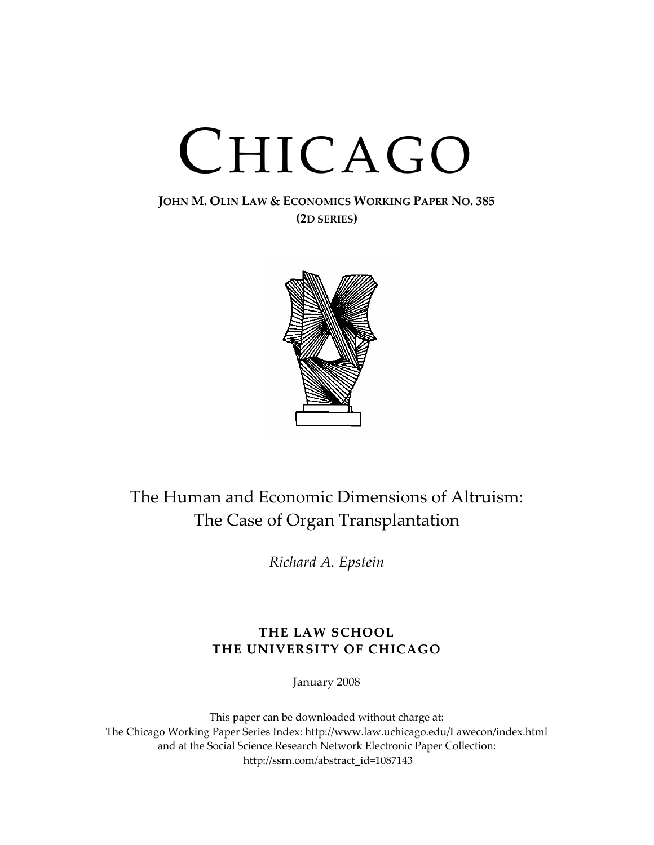# CHICAGO

### **JOHN M. OLIN LAW & ECONOMICS WORKING PAPER NO. 385 (2D SERIES)**



# The Human and Economic Dimensions of Altruism: The Case of Organ Transplantation

*Richard A. Epstein*

## **THE LAW SCHOOL THE UNIVERSITY OF CHICAGO**

January 2008

This paper can be downloaded without charge at: The Chicago Working Paper Series Index: http://www.law.uchicago.edu/Lawecon/index.html and at the Social Science Research Network Electronic Paper Collection: http://ssrn.com/abstract\_id=1087143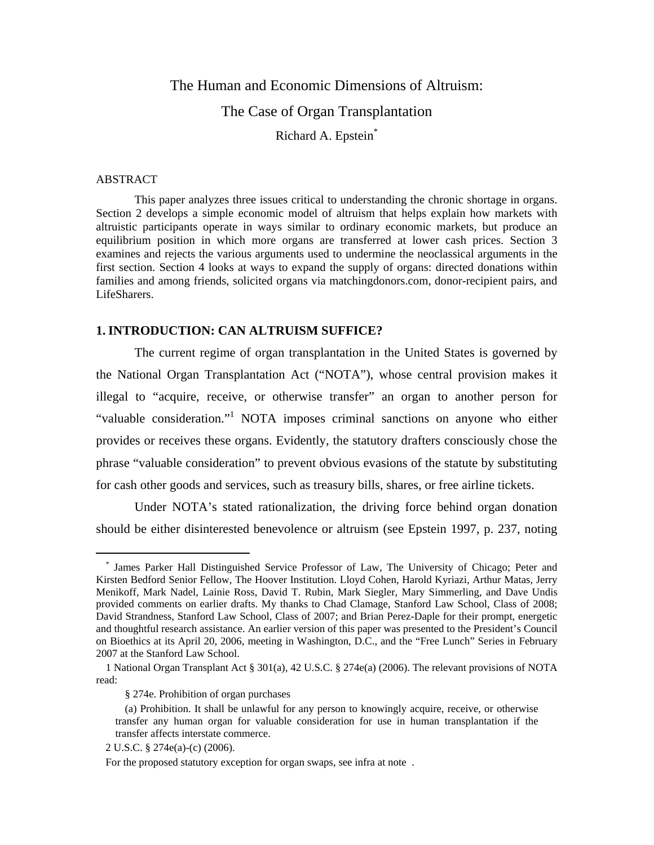## The Human and Economic Dimensions of Altruism: The Case of Organ Transplantation Richard A. Epstein\*

#### ABSTRACT

1

This paper analyzes three issues critical to understanding the chronic shortage in organs. Section 2 develops a simple economic model of altruism that helps explain how markets with altruistic participants operate in ways similar to ordinary economic markets, but produce an equilibrium position in which more organs are transferred at lower cash prices. Section 3 examines and rejects the various arguments used to undermine the neoclassical arguments in the first section. Section 4 looks at ways to expand the supply of organs: directed donations within families and among friends, solicited organs via matchingdonors.com, donor-recipient pairs, and LifeSharers.

#### **1. INTRODUCTION: CAN ALTRUISM SUFFICE?**

The current regime of organ transplantation in the United States is governed by the National Organ Transplantation Act ("NOTA"), whose central provision makes it illegal to "acquire, receive, or otherwise transfer" an organ to another person for "valuable consideration." NOTA imposes criminal sanctions on anyone who either provides or receives these organs. Evidently, the statutory drafters consciously chose the phrase "valuable consideration" to prevent obvious evasions of the statute by substituting for cash other goods and services, such as treasury bills, shares, or free airline tickets.

Under NOTA's stated rationalization, the driving force behind organ donation should be either disinterested benevolence or altruism (see Epstein 1997, p. 237, noting

<sup>\*</sup> James Parker Hall Distinguished Service Professor of Law, The University of Chicago; Peter and Kirsten Bedford Senior Fellow, The Hoover Institution. Lloyd Cohen, Harold Kyriazi, Arthur Matas, Jerry Menikoff, Mark Nadel, Lainie Ross, David T. Rubin, Mark Siegler, Mary Simmerling, and Dave Undis provided comments on earlier drafts. My thanks to Chad Clamage, Stanford Law School, Class of 2008; David Strandness, Stanford Law School, Class of 2007; and Brian Perez-Daple for their prompt, energetic and thoughtful research assistance. An earlier version of this paper was presented to the President's Council on Bioethics at its April 20, 2006, meeting in Washington, D.C., and the "Free Lunch" Series in February 2007 at the Stanford Law School.

<sup>1</sup> National Organ Transplant Act § 301(a), 42 U.S.C. § 274e(a) (2006). The relevant provisions of NOTA read:

<sup>§ 274</sup>e. Prohibition of organ purchases

<sup>(</sup>a) Prohibition. It shall be unlawful for any person to knowingly acquire, receive, or otherwise transfer any human organ for valuable consideration for use in human transplantation if the transfer affects interstate commerce.

<sup>2</sup> U.S.C. § 274e(a)-(c) (2006).

For the proposed statutory exception for organ swaps, see infra at note .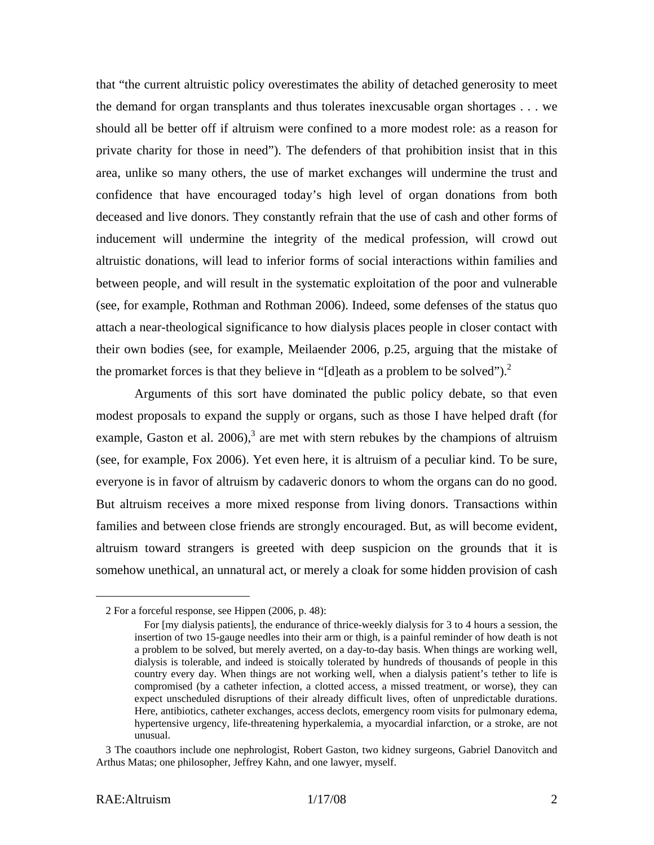that "the current altruistic policy overestimates the ability of detached generosity to meet the demand for organ transplants and thus tolerates inexcusable organ shortages . . . we should all be better off if altruism were confined to a more modest role: as a reason for private charity for those in need"). The defenders of that prohibition insist that in this area, unlike so many others, the use of market exchanges will undermine the trust and confidence that have encouraged today's high level of organ donations from both deceased and live donors. They constantly refrain that the use of cash and other forms of inducement will undermine the integrity of the medical profession, will crowd out altruistic donations, will lead to inferior forms of social interactions within families and between people, and will result in the systematic exploitation of the poor and vulnerable (see, for example, Rothman and Rothman 2006). Indeed, some defenses of the status quo attach a near-theological significance to how dialysis places people in closer contact with their own bodies (see, for example, Meilaender 2006, p.25, arguing that the mistake of the promarket forces is that they believe in "[d]eath as a problem to be solved").<sup>2</sup>

 Arguments of this sort have dominated the public policy debate, so that even modest proposals to expand the supply or organs, such as those I have helped draft (for example, Gaston et al. 2006),<sup>3</sup> are met with stern rebukes by the champions of altruism (see, for example, Fox 2006). Yet even here, it is altruism of a peculiar kind. To be sure, everyone is in favor of altruism by cadaveric donors to whom the organs can do no good. But altruism receives a more mixed response from living donors. Transactions within families and between close friends are strongly encouraged. But, as will become evident, altruism toward strangers is greeted with deep suspicion on the grounds that it is somehow unethical, an unnatural act, or merely a cloak for some hidden provision of cash

1

<sup>2</sup> For a forceful response, see Hippen (2006, p. 48):

For [my dialysis patients], the endurance of thrice-weekly dialysis for 3 to 4 hours a session, the insertion of two 15-gauge needles into their arm or thigh, is a painful reminder of how death is not a problem to be solved, but merely averted, on a day-to-day basis. When things are working well, dialysis is tolerable, and indeed is stoically tolerated by hundreds of thousands of people in this country every day. When things are not working well, when a dialysis patient's tether to life is compromised (by a catheter infection, a clotted access, a missed treatment, or worse), they can expect unscheduled disruptions of their already difficult lives, often of unpredictable durations. Here, antibiotics, catheter exchanges, access declots, emergency room visits for pulmonary edema, hypertensive urgency, life-threatening hyperkalemia, a myocardial infarction, or a stroke, are not unusual.

<sup>3</sup> The coauthors include one nephrologist, Robert Gaston, two kidney surgeons, Gabriel Danovitch and Arthus Matas; one philosopher, Jeffrey Kahn, and one lawyer, myself.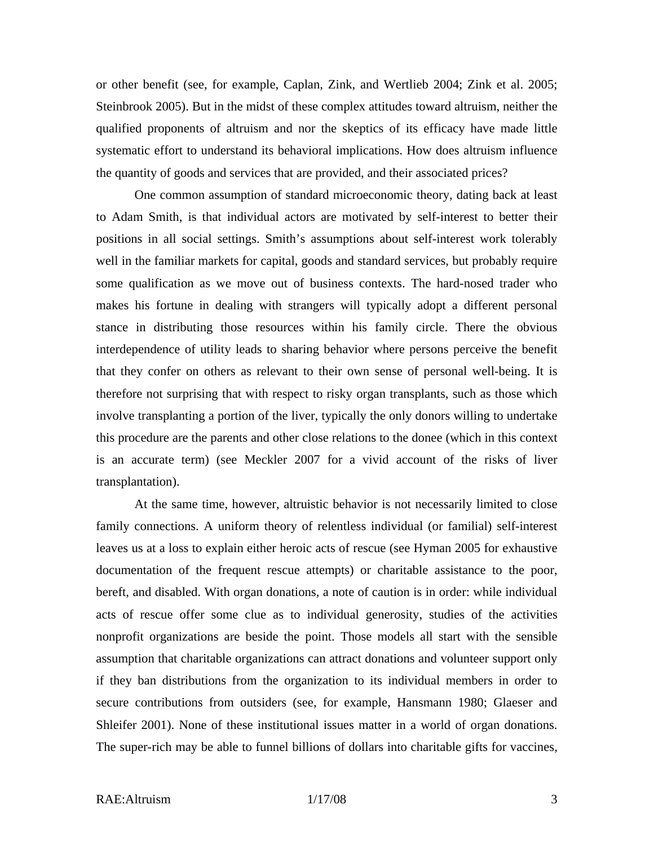or other benefit (see, for example, Caplan, Zink, and Wertlieb 2004; Zink et al. 2005; Steinbrook 2005). But in the midst of these complex attitudes toward altruism, neither the qualified proponents of altruism and nor the skeptics of its efficacy have made little systematic effort to understand its behavioral implications. How does altruism influence the quantity of goods and services that are provided, and their associated prices?

One common assumption of standard microeconomic theory, dating back at least to Adam Smith, is that individual actors are motivated by self-interest to better their positions in all social settings. Smith's assumptions about self-interest work tolerably well in the familiar markets for capital, goods and standard services, but probably require some qualification as we move out of business contexts. The hard-nosed trader who makes his fortune in dealing with strangers will typically adopt a different personal stance in distributing those resources within his family circle. There the obvious interdependence of utility leads to sharing behavior where persons perceive the benefit that they confer on others as relevant to their own sense of personal well-being. It is therefore not surprising that with respect to risky organ transplants, such as those which involve transplanting a portion of the liver, typically the only donors willing to undertake this procedure are the parents and other close relations to the donee (which in this context is an accurate term) (see Meckler 2007 for a vivid account of the risks of liver transplantation).

At the same time, however, altruistic behavior is not necessarily limited to close family connections. A uniform theory of relentless individual (or familial) self-interest leaves us at a loss to explain either heroic acts of rescue (see Hyman 2005 for exhaustive documentation of the frequent rescue attempts) or charitable assistance to the poor, bereft, and disabled. With organ donations, a note of caution is in order: while individual acts of rescue offer some clue as to individual generosity, studies of the activities nonprofit organizations are beside the point. Those models all start with the sensible assumption that charitable organizations can attract donations and volunteer support only if they ban distributions from the organization to its individual members in order to secure contributions from outsiders (see, for example, Hansmann 1980; Glaeser and Shleifer 2001). None of these institutional issues matter in a world of organ donations. The super-rich may be able to funnel billions of dollars into charitable gifts for vaccines,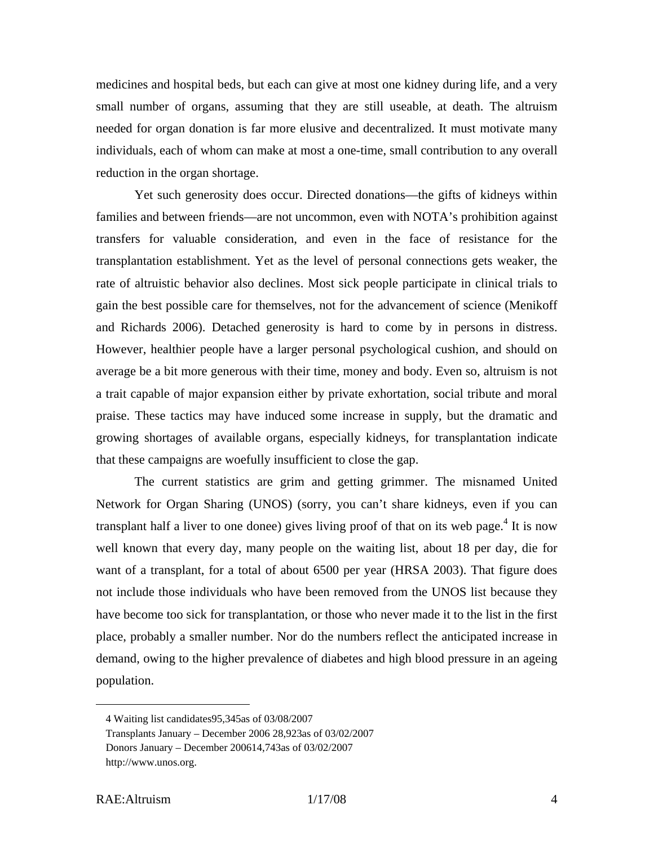medicines and hospital beds, but each can give at most one kidney during life, and a very small number of organs, assuming that they are still useable, at death. The altruism needed for organ donation is far more elusive and decentralized. It must motivate many individuals, each of whom can make at most a one-time, small contribution to any overall reduction in the organ shortage.

Yet such generosity does occur. Directed donations—the gifts of kidneys within families and between friends—are not uncommon, even with NOTA's prohibition against transfers for valuable consideration, and even in the face of resistance for the transplantation establishment. Yet as the level of personal connections gets weaker, the rate of altruistic behavior also declines. Most sick people participate in clinical trials to gain the best possible care for themselves, not for the advancement of science (Menikoff and Richards 2006). Detached generosity is hard to come by in persons in distress. However, healthier people have a larger personal psychological cushion, and should on average be a bit more generous with their time, money and body. Even so, altruism is not a trait capable of major expansion either by private exhortation, social tribute and moral praise. These tactics may have induced some increase in supply, but the dramatic and growing shortages of available organs, especially kidneys, for transplantation indicate that these campaigns are woefully insufficient to close the gap.

The current statistics are grim and getting grimmer. The misnamed United Network for Organ Sharing (UNOS) (sorry, you can't share kidneys, even if you can transplant half a liver to one donee) gives living proof of that on its web page.<sup>4</sup> It is now well known that every day, many people on the waiting list, about 18 per day, die for want of a transplant, for a total of about 6500 per year (HRSA 2003). That figure does not include those individuals who have been removed from the UNOS list because they have become too sick for transplantation, or those who never made it to the list in the first place, probably a smaller number. Nor do the numbers reflect the anticipated increase in demand, owing to the higher prevalence of diabetes and high blood pressure in an ageing population.

<sup>4</sup> Waiting list candidates95,345as of 03/08/2007

Transplants January – December 2006 28,923as of 03/02/2007

Donors January – December 200614,743as of 03/02/2007

http://www.unos.org.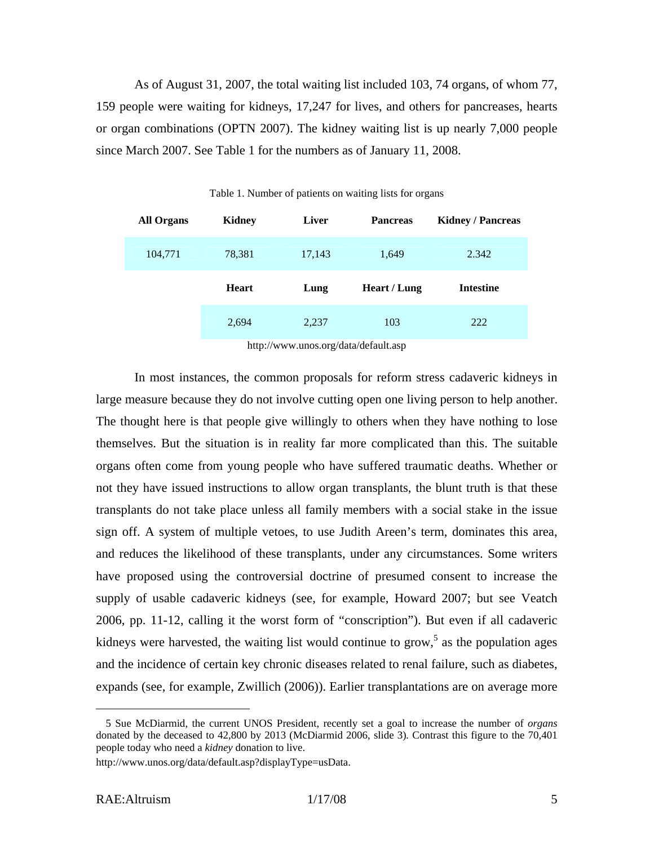As of August 31, 2007, the total waiting list included 103, 74 organs, of whom 77, 159 people were waiting for kidneys, 17,247 for lives, and others for pancreases, hearts or organ combinations (OPTN 2007). The kidney waiting list is up nearly 7,000 people since March 2007. See Table 1 for the numbers as of January 11, 2008.

| <b>All Organs</b> | Kidney       | <b>Liver</b> | <b>Pancreas</b> | <b>Kidney / Pancreas</b> |
|-------------------|--------------|--------------|-----------------|--------------------------|
| 104,771           | 78,381       | 17,143       | 1,649           | 2.342                    |
|                   | <b>Heart</b> | Lung         | Heart / Lung    | <b>Intestine</b>         |
|                   | 2,694        | 2,237        | 103             | 222                      |

Table 1. Number of patients on waiting lists for organs

http://www.unos.org/data/default.asp

In most instances, the common proposals for reform stress cadaveric kidneys in large measure because they do not involve cutting open one living person to help another. The thought here is that people give willingly to others when they have nothing to lose themselves. But the situation is in reality far more complicated than this. The suitable organs often come from young people who have suffered traumatic deaths. Whether or not they have issued instructions to allow organ transplants, the blunt truth is that these transplants do not take place unless all family members with a social stake in the issue sign off. A system of multiple vetoes, to use Judith Areen's term, dominates this area, and reduces the likelihood of these transplants, under any circumstances. Some writers have proposed using the controversial doctrine of presumed consent to increase the supply of usable cadaveric kidneys (see, for example, Howard 2007; but see Veatch 2006, pp. 11-12, calling it the worst form of "conscription"). But even if all cadaveric kidneys were harvested, the waiting list would continue to grow,<sup>5</sup> as the population ages and the incidence of certain key chronic diseases related to renal failure, such as diabetes, expands (see, for example, Zwillich (2006)). Earlier transplantations are on average more

<sup>5</sup> Sue McDiarmid, the current UNOS President, recently set a goal to increase the number of *organs* donated by the deceased to 42,800 by 2013 (McDiarmid 2006, slide 3)*.* Contrast this figure to the 70,401 people today who need a *kidney* donation to live.

http://www.unos.org/data/default.asp?displayType=usData.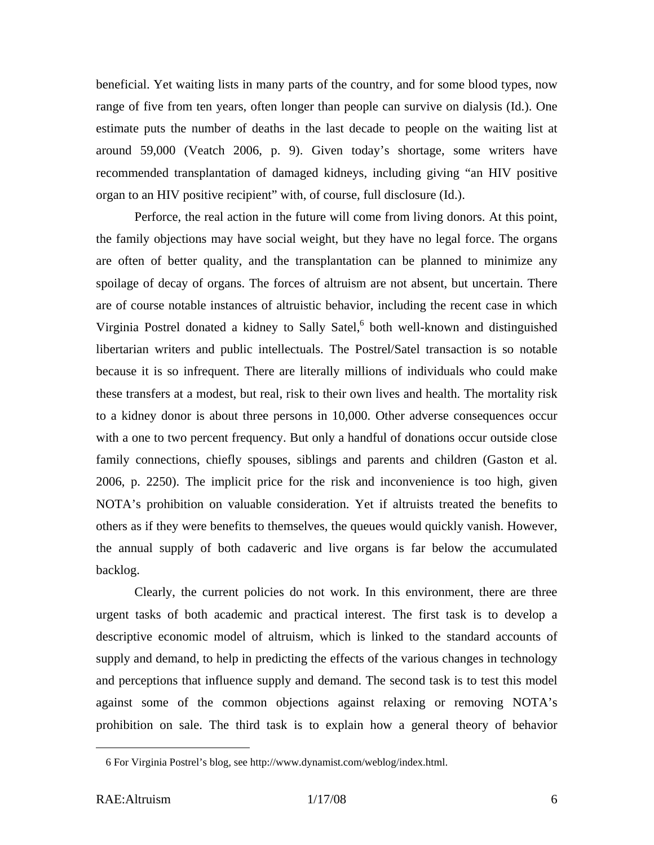beneficial. Yet waiting lists in many parts of the country, and for some blood types, now range of five from ten years, often longer than people can survive on dialysis (Id.). One estimate puts the number of deaths in the last decade to people on the waiting list at around 59,000 (Veatch 2006, p. 9). Given today's shortage, some writers have recommended transplantation of damaged kidneys, including giving "an HIV positive organ to an HIV positive recipient" with, of course, full disclosure (Id.).

Perforce, the real action in the future will come from living donors. At this point, the family objections may have social weight, but they have no legal force. The organs are often of better quality, and the transplantation can be planned to minimize any spoilage of decay of organs. The forces of altruism are not absent, but uncertain. There are of course notable instances of altruistic behavior, including the recent case in which Virginia Postrel donated a kidney to Sally Satel,<sup>6</sup> both well-known and distinguished libertarian writers and public intellectuals. The Postrel/Satel transaction is so notable because it is so infrequent. There are literally millions of individuals who could make these transfers at a modest, but real, risk to their own lives and health. The mortality risk to a kidney donor is about three persons in 10,000. Other adverse consequences occur with a one to two percent frequency. But only a handful of donations occur outside close family connections, chiefly spouses, siblings and parents and children (Gaston et al. 2006, p. 2250). The implicit price for the risk and inconvenience is too high, given NOTA's prohibition on valuable consideration. Yet if altruists treated the benefits to others as if they were benefits to themselves, the queues would quickly vanish. However, the annual supply of both cadaveric and live organs is far below the accumulated backlog.

Clearly, the current policies do not work. In this environment, there are three urgent tasks of both academic and practical interest. The first task is to develop a descriptive economic model of altruism, which is linked to the standard accounts of supply and demand, to help in predicting the effects of the various changes in technology and perceptions that influence supply and demand. The second task is to test this model against some of the common objections against relaxing or removing NOTA's prohibition on sale. The third task is to explain how a general theory of behavior

<sup>6</sup> For Virginia Postrel's blog, see http://www.dynamist.com/weblog/index.html.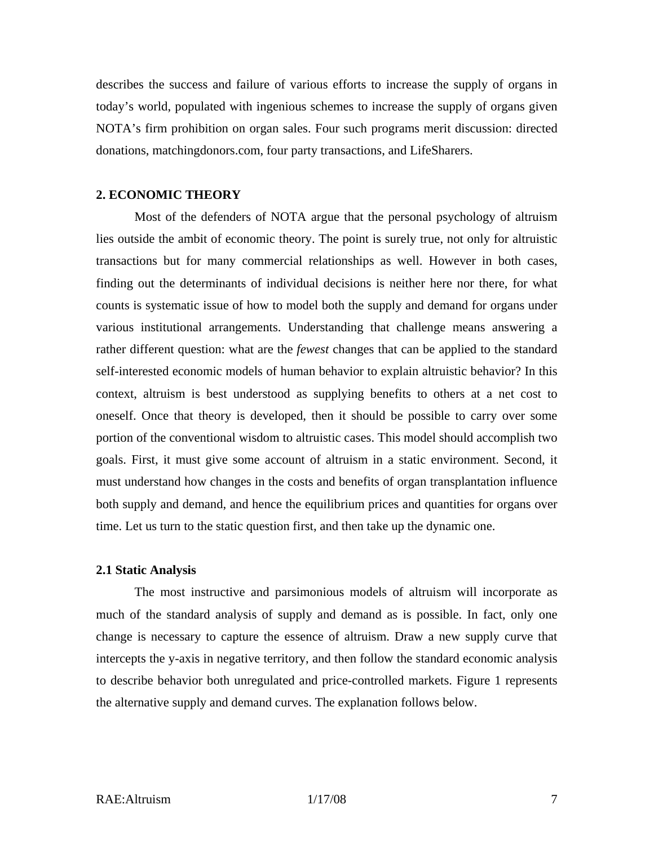describes the success and failure of various efforts to increase the supply of organs in today's world, populated with ingenious schemes to increase the supply of organs given NOTA's firm prohibition on organ sales. Four such programs merit discussion: directed donations, matchingdonors.com, four party transactions, and LifeSharers.

#### **2. ECONOMIC THEORY**

Most of the defenders of NOTA argue that the personal psychology of altruism lies outside the ambit of economic theory. The point is surely true, not only for altruistic transactions but for many commercial relationships as well. However in both cases, finding out the determinants of individual decisions is neither here nor there, for what counts is systematic issue of how to model both the supply and demand for organs under various institutional arrangements. Understanding that challenge means answering a rather different question: what are the *fewest* changes that can be applied to the standard self-interested economic models of human behavior to explain altruistic behavior? In this context, altruism is best understood as supplying benefits to others at a net cost to oneself. Once that theory is developed, then it should be possible to carry over some portion of the conventional wisdom to altruistic cases. This model should accomplish two goals. First, it must give some account of altruism in a static environment. Second, it must understand how changes in the costs and benefits of organ transplantation influence both supply and demand, and hence the equilibrium prices and quantities for organs over time. Let us turn to the static question first, and then take up the dynamic one.

#### **2.1 Static Analysis**

The most instructive and parsimonious models of altruism will incorporate as much of the standard analysis of supply and demand as is possible. In fact, only one change is necessary to capture the essence of altruism. Draw a new supply curve that intercepts the y-axis in negative territory, and then follow the standard economic analysis to describe behavior both unregulated and price-controlled markets. Figure 1 represents the alternative supply and demand curves. The explanation follows below.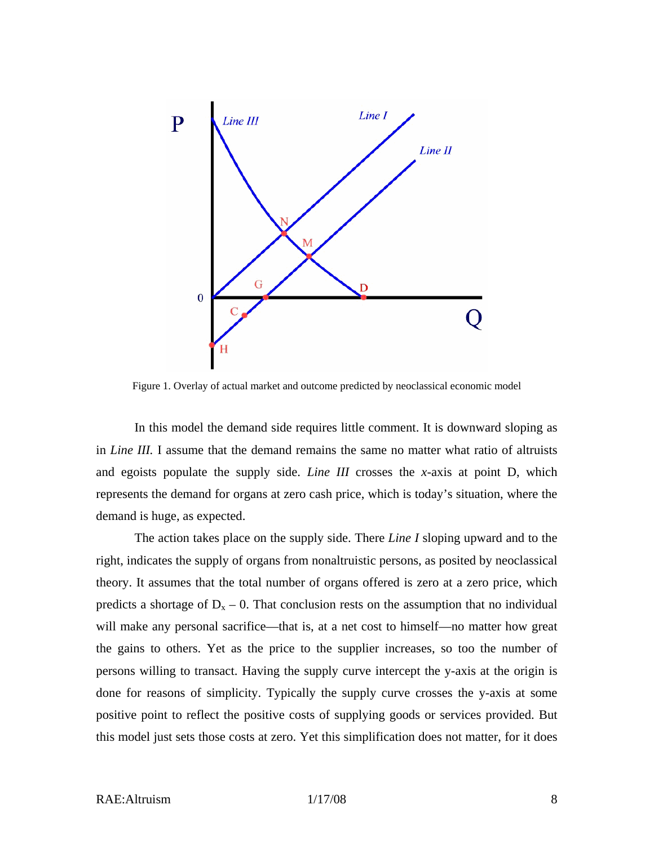

Figure 1. Overlay of actual market and outcome predicted by neoclassical economic model

In this model the demand side requires little comment. It is downward sloping as in *Line III.* I assume that the demand remains the same no matter what ratio of altruists and egoists populate the supply side. *Line III* crosses the *x*-axis at point D, which represents the demand for organs at zero cash price, which is today's situation, where the demand is huge, as expected.

The action takes place on the supply side. There *Line I* sloping upward and to the right, indicates the supply of organs from nonaltruistic persons, as posited by neoclassical theory. It assumes that the total number of organs offered is zero at a zero price, which predicts a shortage of  $D_x - 0$ . That conclusion rests on the assumption that no individual will make any personal sacrifice—that is, at a net cost to himself—no matter how great the gains to others. Yet as the price to the supplier increases, so too the number of persons willing to transact. Having the supply curve intercept the y-axis at the origin is done for reasons of simplicity. Typically the supply curve crosses the y-axis at some positive point to reflect the positive costs of supplying goods or services provided. But this model just sets those costs at zero. Yet this simplification does not matter, for it does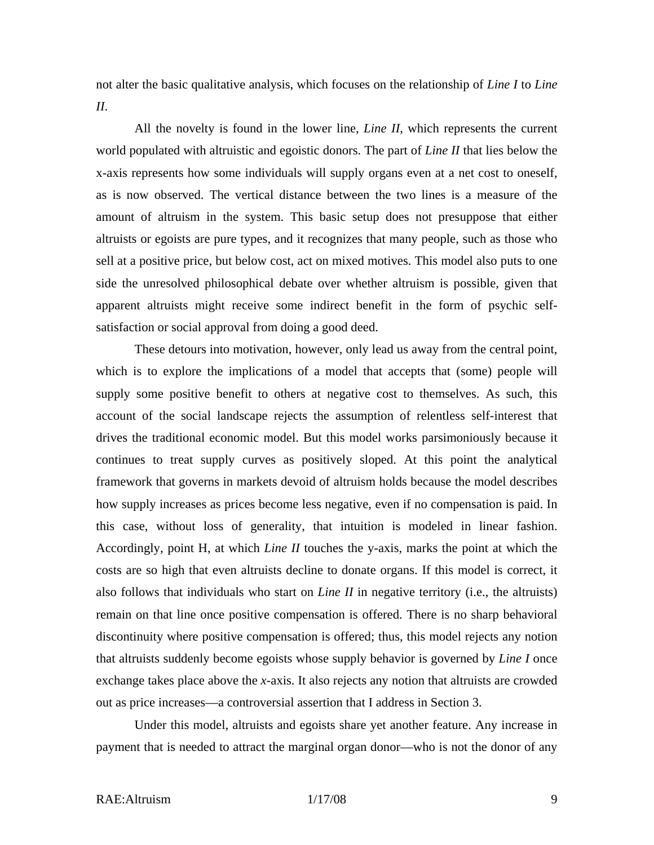not alter the basic qualitative analysis, which focuses on the relationship of *Line I* to *Line II*.

All the novelty is found in the lower line, *Line II*, which represents the current world populated with altruistic and egoistic donors. The part of *Line II* that lies below the x-axis represents how some individuals will supply organs even at a net cost to oneself, as is now observed. The vertical distance between the two lines is a measure of the amount of altruism in the system. This basic setup does not presuppose that either altruists or egoists are pure types, and it recognizes that many people, such as those who sell at a positive price, but below cost, act on mixed motives. This model also puts to one side the unresolved philosophical debate over whether altruism is possible, given that apparent altruists might receive some indirect benefit in the form of psychic selfsatisfaction or social approval from doing a good deed.

These detours into motivation, however, only lead us away from the central point, which is to explore the implications of a model that accepts that (some) people will supply some positive benefit to others at negative cost to themselves. As such, this account of the social landscape rejects the assumption of relentless self-interest that drives the traditional economic model. But this model works parsimoniously because it continues to treat supply curves as positively sloped. At this point the analytical framework that governs in markets devoid of altruism holds because the model describes how supply increases as prices become less negative, even if no compensation is paid. In this case, without loss of generality, that intuition is modeled in linear fashion. Accordingly, point H, at which *Line II* touches the y-axis, marks the point at which the costs are so high that even altruists decline to donate organs. If this model is correct, it also follows that individuals who start on *Line II* in negative territory (i.e., the altruists) remain on that line once positive compensation is offered. There is no sharp behavioral discontinuity where positive compensation is offered; thus, this model rejects any notion that altruists suddenly become egoists whose supply behavior is governed by *Line I* once exchange takes place above the *x*-axis. It also rejects any notion that altruists are crowded out as price increases—a controversial assertion that I address in Section 3.

Under this model, altruists and egoists share yet another feature. Any increase in payment that is needed to attract the marginal organ donor—who is not the donor of any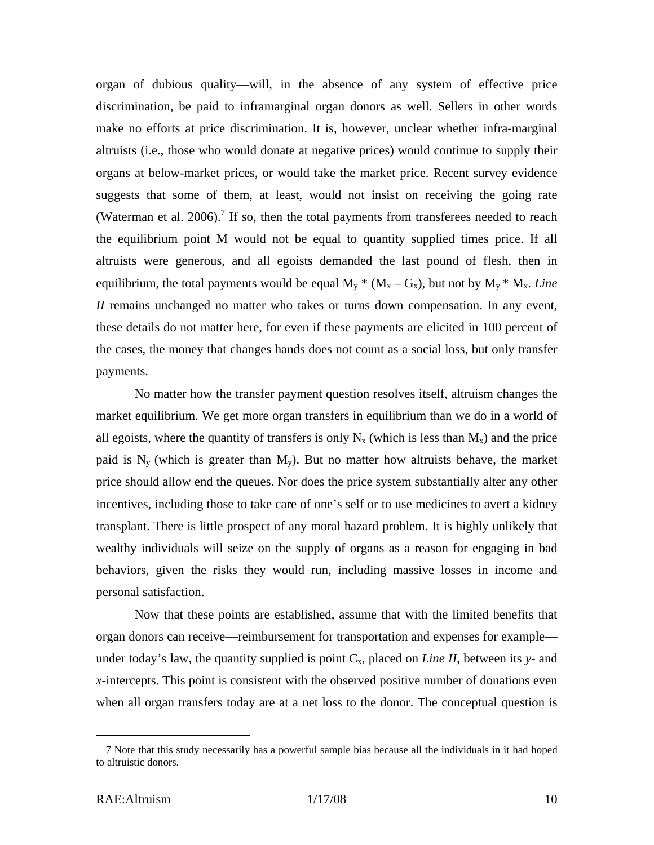organ of dubious quality—will, in the absence of any system of effective price discrimination, be paid to inframarginal organ donors as well. Sellers in other words make no efforts at price discrimination. It is, however, unclear whether infra-marginal altruists (i.e., those who would donate at negative prices) would continue to supply their organs at below-market prices, or would take the market price. Recent survey evidence suggests that some of them, at least, would not insist on receiving the going rate (Waterman et al. 2006).<sup>7</sup> If so, then the total payments from transferees needed to reach the equilibrium point M would not be equal to quantity supplied times price. If all altruists were generous, and all egoists demanded the last pound of flesh, then in equilibrium, the total payments would be equal  $M_v$ <sup>\*</sup> ( $M_x - G_x$ ), but not by  $M_v$ <sup>\*</sup>  $M_x$ . *Line II* remains unchanged no matter who takes or turns down compensation. In any event, these details do not matter here, for even if these payments are elicited in 100 percent of the cases, the money that changes hands does not count as a social loss, but only transfer payments.

No matter how the transfer payment question resolves itself, altruism changes the market equilibrium. We get more organ transfers in equilibrium than we do in a world of all egoists, where the quantity of transfers is only  $N_x$  (which is less than  $M_x$ ) and the price paid is  $N_v$  (which is greater than  $M_v$ ). But no matter how altruists behave, the market price should allow end the queues. Nor does the price system substantially alter any other incentives, including those to take care of one's self or to use medicines to avert a kidney transplant. There is little prospect of any moral hazard problem. It is highly unlikely that wealthy individuals will seize on the supply of organs as a reason for engaging in bad behaviors, given the risks they would run, including massive losses in income and personal satisfaction.

Now that these points are established, assume that with the limited benefits that organ donors can receive—reimbursement for transportation and expenses for example under today's law, the quantity supplied is point  $C_x$ , placed on *Line II*, between its y- and *x*-intercepts. This point is consistent with the observed positive number of donations even when all organ transfers today are at a net loss to the donor. The conceptual question is

<u>.</u>

<sup>7</sup> Note that this study necessarily has a powerful sample bias because all the individuals in it had hoped to altruistic donors.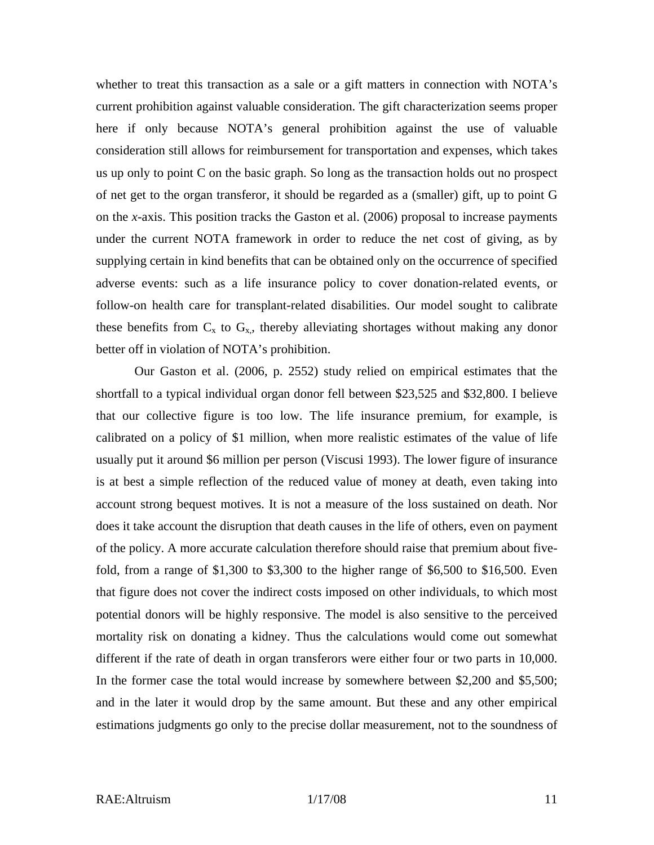whether to treat this transaction as a sale or a gift matters in connection with NOTA's current prohibition against valuable consideration. The gift characterization seems proper here if only because NOTA's general prohibition against the use of valuable consideration still allows for reimbursement for transportation and expenses, which takes us up only to point C on the basic graph. So long as the transaction holds out no prospect of net get to the organ transferor, it should be regarded as a (smaller) gift, up to point G on the *x*-axis. This position tracks the Gaston et al. (2006) proposal to increase payments under the current NOTA framework in order to reduce the net cost of giving, as by supplying certain in kind benefits that can be obtained only on the occurrence of specified adverse events: such as a life insurance policy to cover donation-related events, or follow-on health care for transplant-related disabilities. Our model sought to calibrate these benefits from  $C_x$  to  $G_x$ , thereby alleviating shortages without making any donor better off in violation of NOTA's prohibition.

Our Gaston et al. (2006, p. 2552) study relied on empirical estimates that the shortfall to a typical individual organ donor fell between \$23,525 and \$32,800. I believe that our collective figure is too low. The life insurance premium, for example, is calibrated on a policy of \$1 million, when more realistic estimates of the value of life usually put it around \$6 million per person (Viscusi 1993). The lower figure of insurance is at best a simple reflection of the reduced value of money at death, even taking into account strong bequest motives. It is not a measure of the loss sustained on death. Nor does it take account the disruption that death causes in the life of others, even on payment of the policy. A more accurate calculation therefore should raise that premium about fivefold, from a range of \$1,300 to \$3,300 to the higher range of \$6,500 to \$16,500. Even that figure does not cover the indirect costs imposed on other individuals, to which most potential donors will be highly responsive. The model is also sensitive to the perceived mortality risk on donating a kidney. Thus the calculations would come out somewhat different if the rate of death in organ transferors were either four or two parts in 10,000. In the former case the total would increase by somewhere between \$2,200 and \$5,500; and in the later it would drop by the same amount. But these and any other empirical estimations judgments go only to the precise dollar measurement, not to the soundness of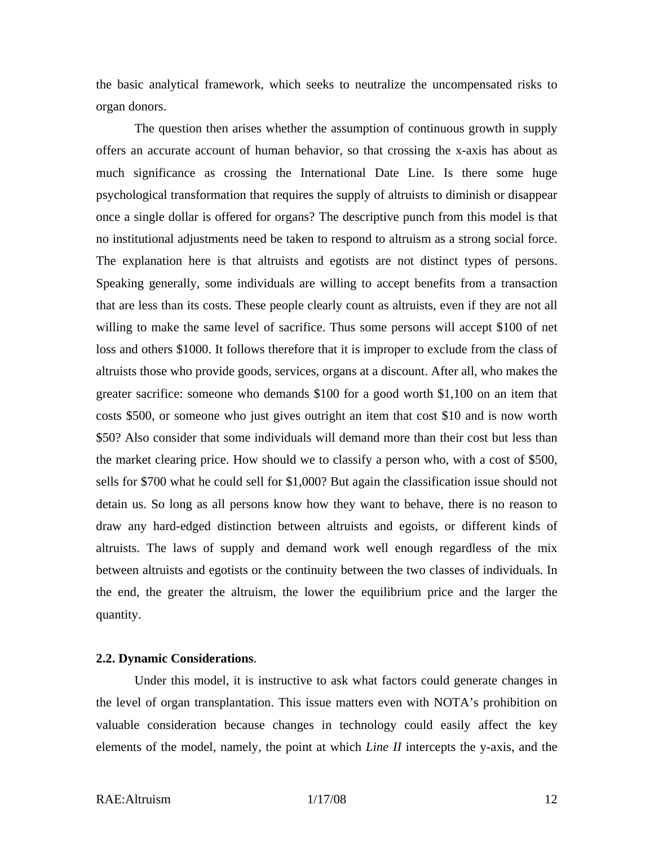the basic analytical framework, which seeks to neutralize the uncompensated risks to organ donors.

The question then arises whether the assumption of continuous growth in supply offers an accurate account of human behavior, so that crossing the x-axis has about as much significance as crossing the International Date Line. Is there some huge psychological transformation that requires the supply of altruists to diminish or disappear once a single dollar is offered for organs? The descriptive punch from this model is that no institutional adjustments need be taken to respond to altruism as a strong social force. The explanation here is that altruists and egotists are not distinct types of persons. Speaking generally, some individuals are willing to accept benefits from a transaction that are less than its costs. These people clearly count as altruists, even if they are not all willing to make the same level of sacrifice. Thus some persons will accept \$100 of net loss and others \$1000. It follows therefore that it is improper to exclude from the class of altruists those who provide goods, services, organs at a discount. After all, who makes the greater sacrifice: someone who demands \$100 for a good worth \$1,100 on an item that costs \$500, or someone who just gives outright an item that cost \$10 and is now worth \$50? Also consider that some individuals will demand more than their cost but less than the market clearing price. How should we to classify a person who, with a cost of \$500, sells for \$700 what he could sell for \$1,000? But again the classification issue should not detain us. So long as all persons know how they want to behave, there is no reason to draw any hard-edged distinction between altruists and egoists, or different kinds of altruists. The laws of supply and demand work well enough regardless of the mix between altruists and egotists or the continuity between the two classes of individuals. In the end, the greater the altruism, the lower the equilibrium price and the larger the quantity.

#### **2.2. Dynamic Considerations**.

Under this model, it is instructive to ask what factors could generate changes in the level of organ transplantation. This issue matters even with NOTA's prohibition on valuable consideration because changes in technology could easily affect the key elements of the model, namely, the point at which *Line II* intercepts the y-axis, and the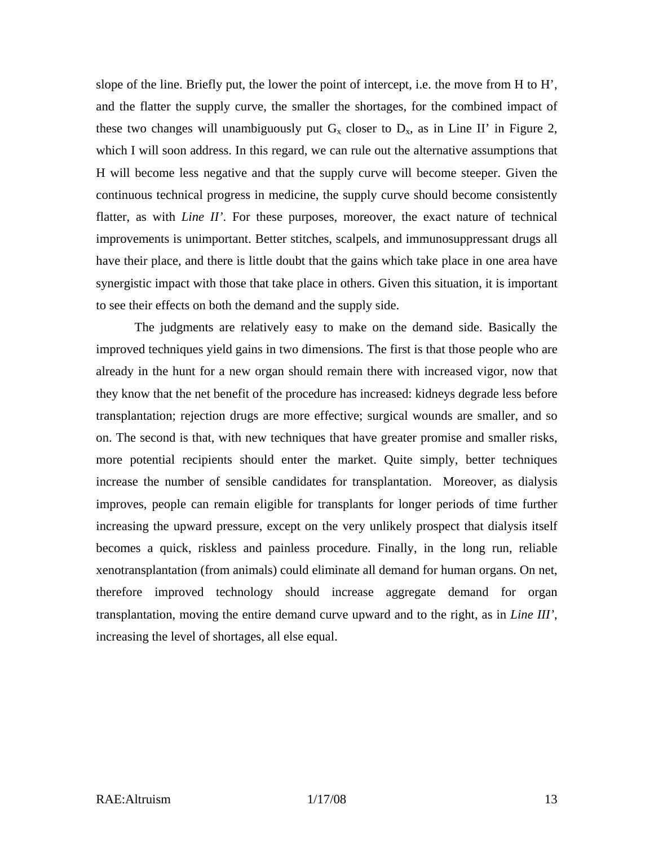slope of the line. Briefly put, the lower the point of intercept, i.e. the move from H to H', and the flatter the supply curve, the smaller the shortages, for the combined impact of these two changes will unambiguously put  $G_x$  closer to  $D_x$ , as in Line II' in Figure 2, which I will soon address. In this regard, we can rule out the alternative assumptions that H will become less negative and that the supply curve will become steeper. Given the continuous technical progress in medicine, the supply curve should become consistently flatter, as with *Line II'*. For these purposes, moreover, the exact nature of technical improvements is unimportant. Better stitches, scalpels, and immunosuppressant drugs all have their place, and there is little doubt that the gains which take place in one area have synergistic impact with those that take place in others. Given this situation, it is important to see their effects on both the demand and the supply side.

The judgments are relatively easy to make on the demand side. Basically the improved techniques yield gains in two dimensions. The first is that those people who are already in the hunt for a new organ should remain there with increased vigor, now that they know that the net benefit of the procedure has increased: kidneys degrade less before transplantation; rejection drugs are more effective; surgical wounds are smaller, and so on. The second is that, with new techniques that have greater promise and smaller risks, more potential recipients should enter the market. Quite simply, better techniques increase the number of sensible candidates for transplantation. Moreover, as dialysis improves, people can remain eligible for transplants for longer periods of time further increasing the upward pressure, except on the very unlikely prospect that dialysis itself becomes a quick, riskless and painless procedure. Finally, in the long run, reliable xenotransplantation (from animals) could eliminate all demand for human organs. On net, therefore improved technology should increase aggregate demand for organ transplantation, moving the entire demand curve upward and to the right, as in *Line III'*, increasing the level of shortages, all else equal.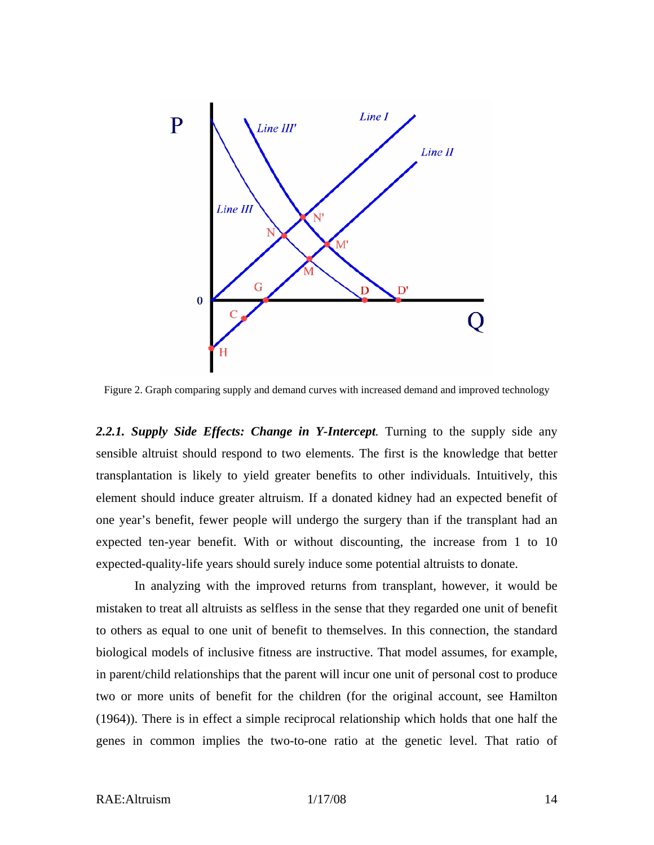

Figure 2. Graph comparing supply and demand curves with increased demand and improved technology

2.2.1. Supply Side Effects: Change in Y-Intercept. Turning to the supply side any sensible altruist should respond to two elements. The first is the knowledge that better transplantation is likely to yield greater benefits to other individuals. Intuitively, this element should induce greater altruism. If a donated kidney had an expected benefit of one year's benefit, fewer people will undergo the surgery than if the transplant had an expected ten-year benefit. With or without discounting, the increase from 1 to 10 expected-quality-life years should surely induce some potential altruists to donate.

In analyzing with the improved returns from transplant, however, it would be mistaken to treat all altruists as selfless in the sense that they regarded one unit of benefit to others as equal to one unit of benefit to themselves. In this connection, the standard biological models of inclusive fitness are instructive. That model assumes, for example, in parent/child relationships that the parent will incur one unit of personal cost to produce two or more units of benefit for the children (for the original account, see Hamilton (1964)). There is in effect a simple reciprocal relationship which holds that one half the genes in common implies the two-to-one ratio at the genetic level. That ratio of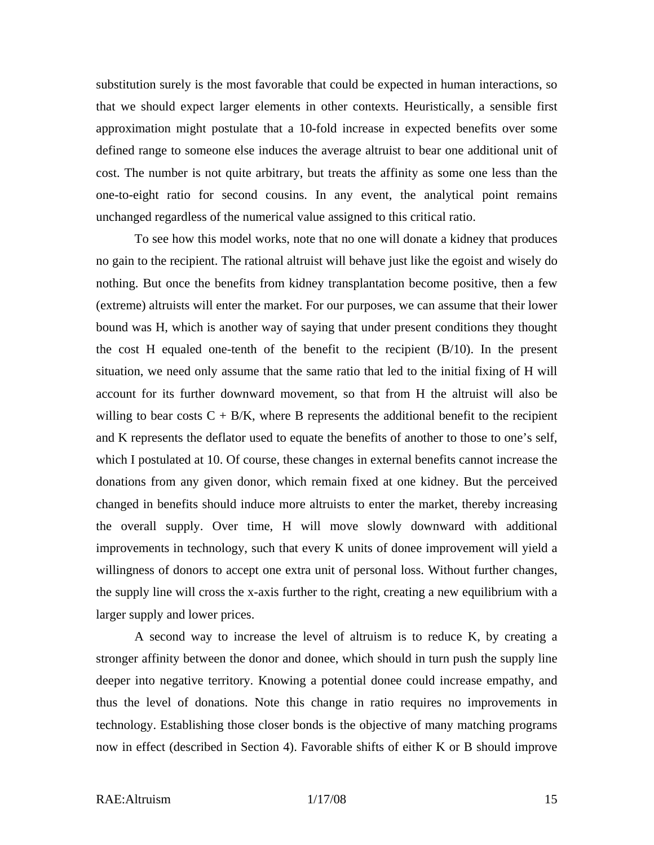substitution surely is the most favorable that could be expected in human interactions, so that we should expect larger elements in other contexts. Heuristically, a sensible first approximation might postulate that a 10-fold increase in expected benefits over some defined range to someone else induces the average altruist to bear one additional unit of cost. The number is not quite arbitrary, but treats the affinity as some one less than the one-to-eight ratio for second cousins. In any event, the analytical point remains unchanged regardless of the numerical value assigned to this critical ratio.

To see how this model works, note that no one will donate a kidney that produces no gain to the recipient. The rational altruist will behave just like the egoist and wisely do nothing. But once the benefits from kidney transplantation become positive, then a few (extreme) altruists will enter the market. For our purposes, we can assume that their lower bound was H, which is another way of saying that under present conditions they thought the cost H equaled one-tenth of the benefit to the recipient (B/10). In the present situation, we need only assume that the same ratio that led to the initial fixing of H will account for its further downward movement, so that from H the altruist will also be willing to bear costs  $C + B/K$ , where B represents the additional benefit to the recipient and K represents the deflator used to equate the benefits of another to those to one's self, which I postulated at 10. Of course, these changes in external benefits cannot increase the donations from any given donor, which remain fixed at one kidney. But the perceived changed in benefits should induce more altruists to enter the market, thereby increasing the overall supply. Over time, H will move slowly downward with additional improvements in technology, such that every K units of donee improvement will yield a willingness of donors to accept one extra unit of personal loss. Without further changes, the supply line will cross the x-axis further to the right, creating a new equilibrium with a larger supply and lower prices.

A second way to increase the level of altruism is to reduce K, by creating a stronger affinity between the donor and donee, which should in turn push the supply line deeper into negative territory. Knowing a potential donee could increase empathy, and thus the level of donations. Note this change in ratio requires no improvements in technology. Establishing those closer bonds is the objective of many matching programs now in effect (described in Section 4). Favorable shifts of either K or B should improve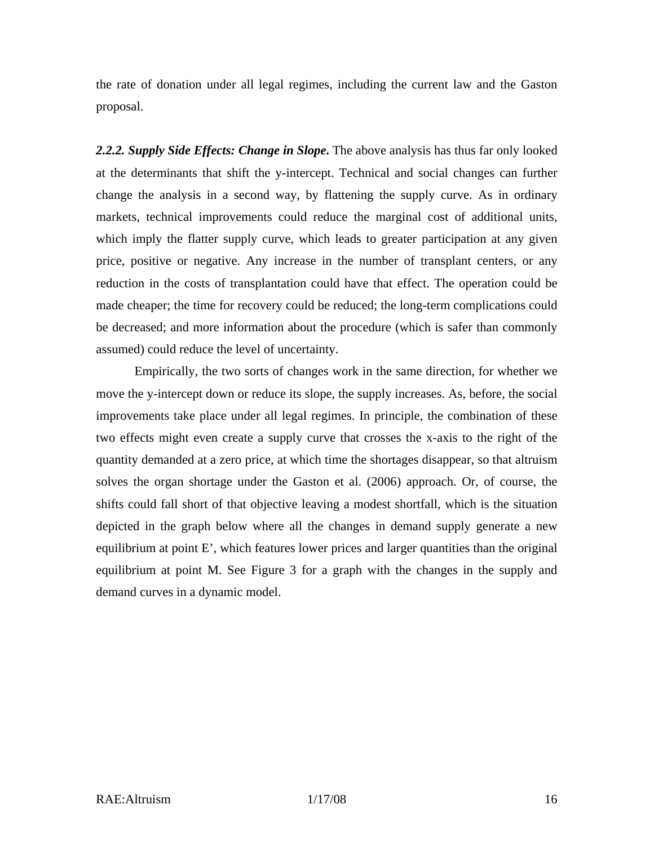the rate of donation under all legal regimes, including the current law and the Gaston proposal.

*2.2.2. Supply Side Effects: Change in Slope***.** The above analysis has thus far only looked at the determinants that shift the y-intercept. Technical and social changes can further change the analysis in a second way, by flattening the supply curve. As in ordinary markets, technical improvements could reduce the marginal cost of additional units, which imply the flatter supply curve, which leads to greater participation at any given price, positive or negative. Any increase in the number of transplant centers, or any reduction in the costs of transplantation could have that effect. The operation could be made cheaper; the time for recovery could be reduced; the long-term complications could be decreased; and more information about the procedure (which is safer than commonly assumed) could reduce the level of uncertainty.

Empirically, the two sorts of changes work in the same direction, for whether we move the y-intercept down or reduce its slope, the supply increases. As, before, the social improvements take place under all legal regimes. In principle, the combination of these two effects might even create a supply curve that crosses the x-axis to the right of the quantity demanded at a zero price, at which time the shortages disappear, so that altruism solves the organ shortage under the Gaston et al. (2006) approach. Or, of course, the shifts could fall short of that objective leaving a modest shortfall, which is the situation depicted in the graph below where all the changes in demand supply generate a new equilibrium at point E', which features lower prices and larger quantities than the original equilibrium at point M. See Figure 3 for a graph with the changes in the supply and demand curves in a dynamic model.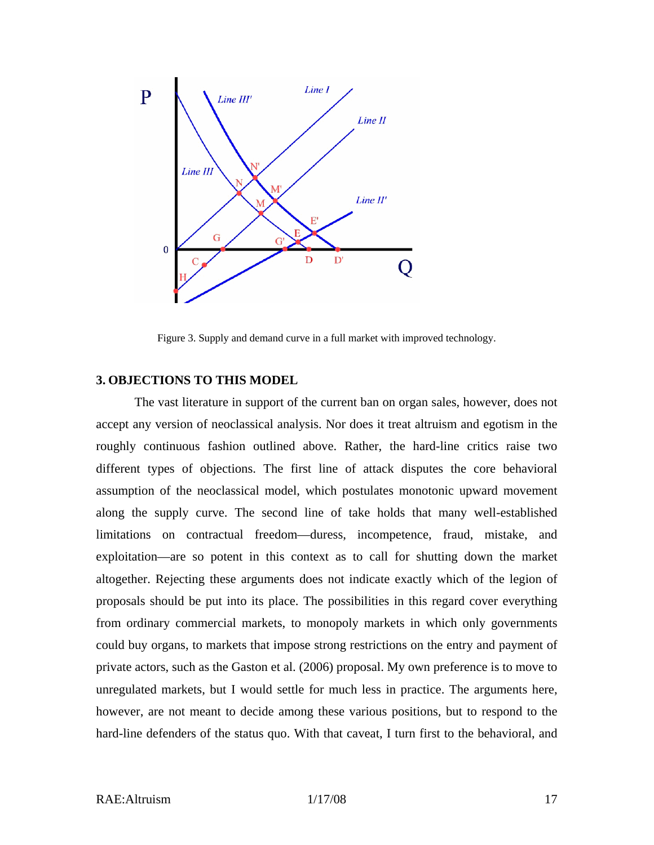

Figure 3. Supply and demand curve in a full market with improved technology.

#### **3. OBJECTIONS TO THIS MODEL**

The vast literature in support of the current ban on organ sales, however, does not accept any version of neoclassical analysis. Nor does it treat altruism and egotism in the roughly continuous fashion outlined above. Rather, the hard-line critics raise two different types of objections. The first line of attack disputes the core behavioral assumption of the neoclassical model, which postulates monotonic upward movement along the supply curve. The second line of take holds that many well-established limitations on contractual freedom—duress, incompetence, fraud, mistake, and exploitation—are so potent in this context as to call for shutting down the market altogether. Rejecting these arguments does not indicate exactly which of the legion of proposals should be put into its place. The possibilities in this regard cover everything from ordinary commercial markets, to monopoly markets in which only governments could buy organs, to markets that impose strong restrictions on the entry and payment of private actors, such as the Gaston et al. (2006) proposal. My own preference is to move to unregulated markets, but I would settle for much less in practice. The arguments here, however, are not meant to decide among these various positions, but to respond to the hard-line defenders of the status quo. With that caveat, I turn first to the behavioral, and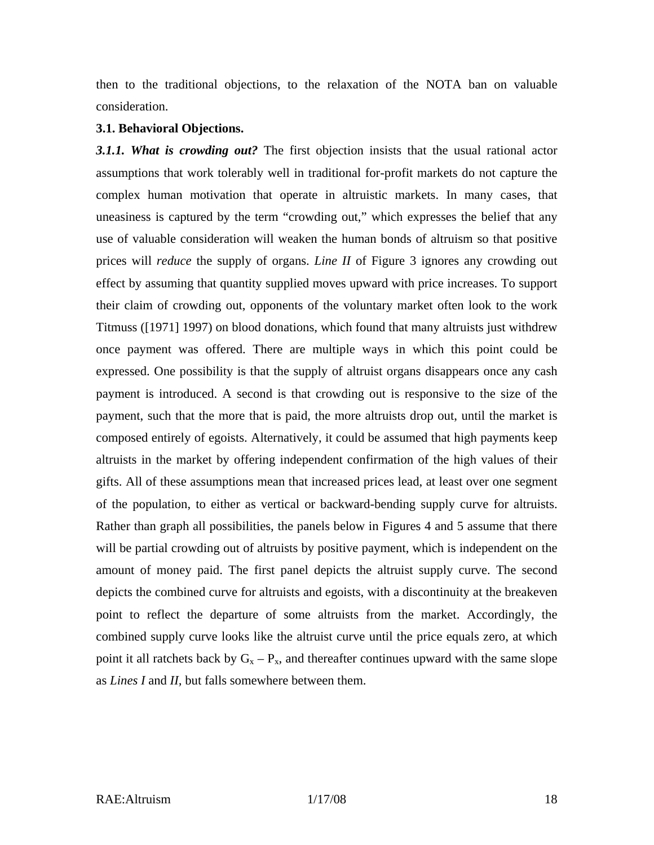then to the traditional objections, to the relaxation of the NOTA ban on valuable consideration.

#### **3.1. Behavioral Objections.**

*3.1.1. What is crowding out?* The first objection insists that the usual rational actor assumptions that work tolerably well in traditional for-profit markets do not capture the complex human motivation that operate in altruistic markets. In many cases, that uneasiness is captured by the term "crowding out," which expresses the belief that any use of valuable consideration will weaken the human bonds of altruism so that positive prices will *reduce* the supply of organs. *Line II* of Figure 3 ignores any crowding out effect by assuming that quantity supplied moves upward with price increases. To support their claim of crowding out, opponents of the voluntary market often look to the work Titmuss ([1971] 1997) on blood donations, which found that many altruists just withdrew once payment was offered. There are multiple ways in which this point could be expressed. One possibility is that the supply of altruist organs disappears once any cash payment is introduced. A second is that crowding out is responsive to the size of the payment, such that the more that is paid, the more altruists drop out, until the market is composed entirely of egoists. Alternatively, it could be assumed that high payments keep altruists in the market by offering independent confirmation of the high values of their gifts. All of these assumptions mean that increased prices lead, at least over one segment of the population, to either as vertical or backward-bending supply curve for altruists. Rather than graph all possibilities, the panels below in Figures 4 and 5 assume that there will be partial crowding out of altruists by positive payment, which is independent on the amount of money paid. The first panel depicts the altruist supply curve. The second depicts the combined curve for altruists and egoists, with a discontinuity at the breakeven point to reflect the departure of some altruists from the market. Accordingly, the combined supply curve looks like the altruist curve until the price equals zero, at which point it all ratchets back by  $G_x - P_x$ , and thereafter continues upward with the same slope as *Lines I* and *II,* but falls somewhere between them.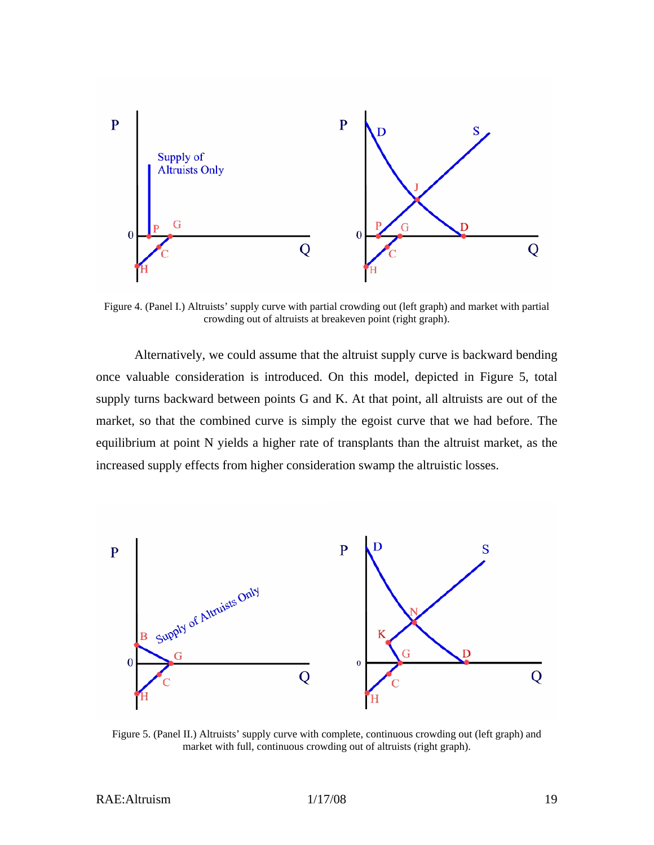

Figure 4. (Panel I.) Altruists' supply curve with partial crowding out (left graph) and market with partial crowding out of altruists at breakeven point (right graph).

Alternatively, we could assume that the altruist supply curve is backward bending once valuable consideration is introduced. On this model, depicted in Figure 5, total supply turns backward between points G and K. At that point, all altruists are out of the market, so that the combined curve is simply the egoist curve that we had before. The equilibrium at point N yields a higher rate of transplants than the altruist market, as the increased supply effects from higher consideration swamp the altruistic losses.



Figure 5. (Panel II.) Altruists' supply curve with complete, continuous crowding out (left graph) and market with full, continuous crowding out of altruists (right graph).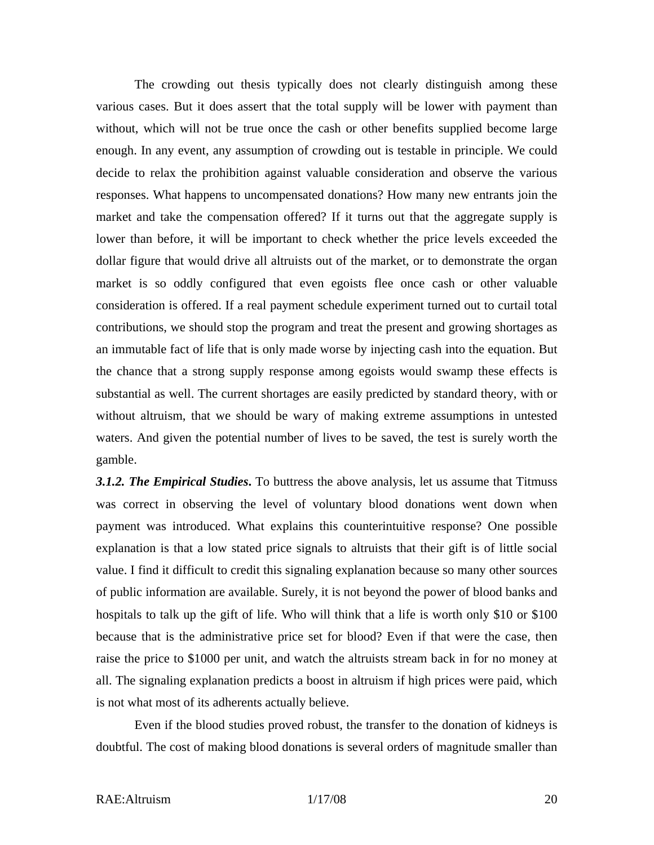The crowding out thesis typically does not clearly distinguish among these various cases. But it does assert that the total supply will be lower with payment than without, which will not be true once the cash or other benefits supplied become large enough. In any event, any assumption of crowding out is testable in principle. We could decide to relax the prohibition against valuable consideration and observe the various responses. What happens to uncompensated donations? How many new entrants join the market and take the compensation offered? If it turns out that the aggregate supply is lower than before, it will be important to check whether the price levels exceeded the dollar figure that would drive all altruists out of the market, or to demonstrate the organ market is so oddly configured that even egoists flee once cash or other valuable consideration is offered. If a real payment schedule experiment turned out to curtail total contributions, we should stop the program and treat the present and growing shortages as an immutable fact of life that is only made worse by injecting cash into the equation. But the chance that a strong supply response among egoists would swamp these effects is substantial as well. The current shortages are easily predicted by standard theory, with or without altruism, that we should be wary of making extreme assumptions in untested waters. And given the potential number of lives to be saved, the test is surely worth the gamble.

*3.1.2. The Empirical Studies***.** To buttress the above analysis, let us assume that Titmuss was correct in observing the level of voluntary blood donations went down when payment was introduced. What explains this counterintuitive response? One possible explanation is that a low stated price signals to altruists that their gift is of little social value. I find it difficult to credit this signaling explanation because so many other sources of public information are available. Surely, it is not beyond the power of blood banks and hospitals to talk up the gift of life. Who will think that a life is worth only \$10 or \$100 because that is the administrative price set for blood? Even if that were the case, then raise the price to \$1000 per unit, and watch the altruists stream back in for no money at all. The signaling explanation predicts a boost in altruism if high prices were paid, which is not what most of its adherents actually believe.

Even if the blood studies proved robust, the transfer to the donation of kidneys is doubtful. The cost of making blood donations is several orders of magnitude smaller than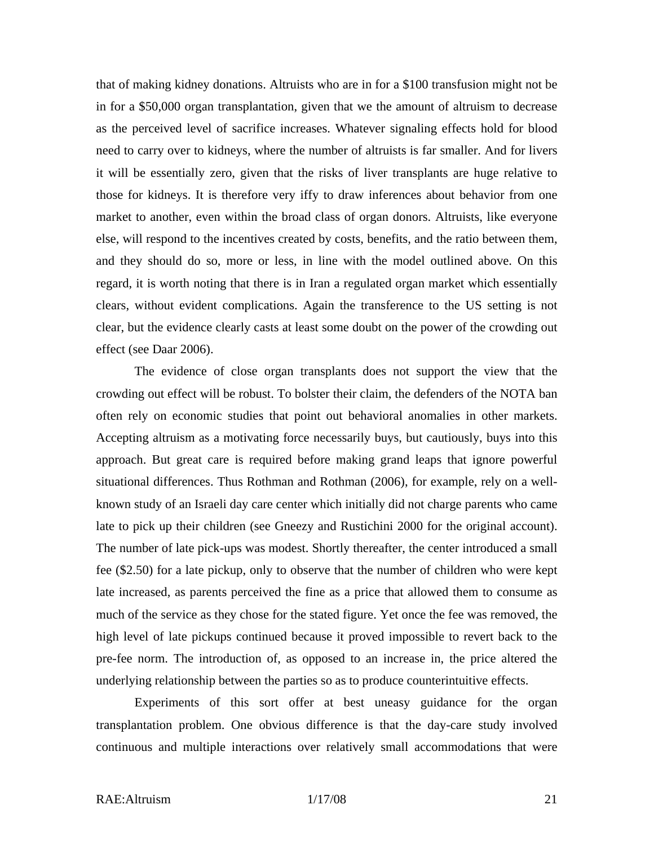that of making kidney donations. Altruists who are in for a \$100 transfusion might not be in for a \$50,000 organ transplantation, given that we the amount of altruism to decrease as the perceived level of sacrifice increases. Whatever signaling effects hold for blood need to carry over to kidneys, where the number of altruists is far smaller. And for livers it will be essentially zero, given that the risks of liver transplants are huge relative to those for kidneys. It is therefore very iffy to draw inferences about behavior from one market to another, even within the broad class of organ donors. Altruists, like everyone else, will respond to the incentives created by costs, benefits, and the ratio between them, and they should do so, more or less, in line with the model outlined above. On this regard, it is worth noting that there is in Iran a regulated organ market which essentially clears, without evident complications. Again the transference to the US setting is not clear, but the evidence clearly casts at least some doubt on the power of the crowding out effect (see Daar 2006).

The evidence of close organ transplants does not support the view that the crowding out effect will be robust. To bolster their claim, the defenders of the NOTA ban often rely on economic studies that point out behavioral anomalies in other markets. Accepting altruism as a motivating force necessarily buys, but cautiously, buys into this approach. But great care is required before making grand leaps that ignore powerful situational differences. Thus Rothman and Rothman (2006), for example, rely on a wellknown study of an Israeli day care center which initially did not charge parents who came late to pick up their children (see Gneezy and Rustichini 2000 for the original account). The number of late pick-ups was modest. Shortly thereafter, the center introduced a small fee (\$2.50) for a late pickup, only to observe that the number of children who were kept late increased, as parents perceived the fine as a price that allowed them to consume as much of the service as they chose for the stated figure. Yet once the fee was removed, the high level of late pickups continued because it proved impossible to revert back to the pre-fee norm. The introduction of, as opposed to an increase in, the price altered the underlying relationship between the parties so as to produce counterintuitive effects.

Experiments of this sort offer at best uneasy guidance for the organ transplantation problem. One obvious difference is that the day-care study involved continuous and multiple interactions over relatively small accommodations that were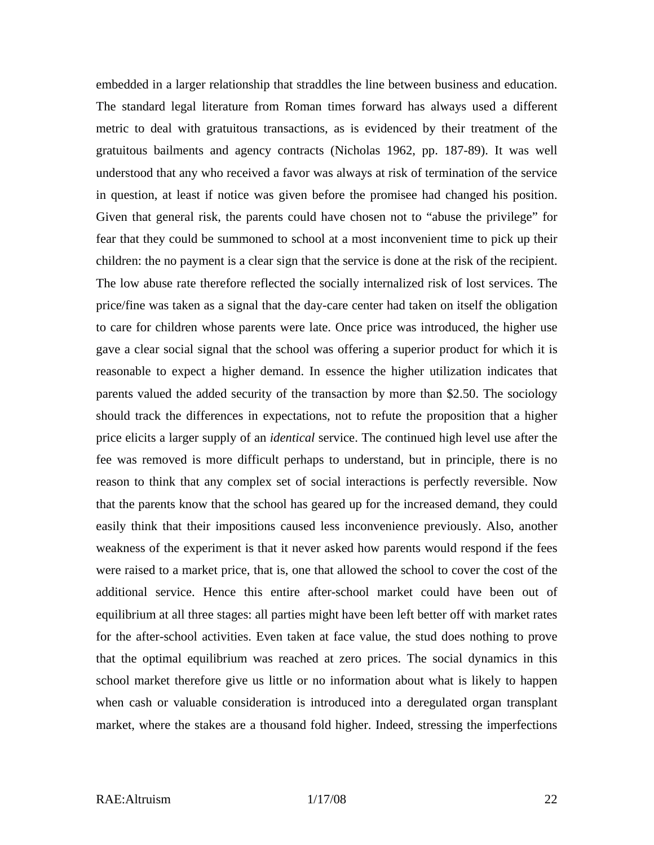embedded in a larger relationship that straddles the line between business and education. The standard legal literature from Roman times forward has always used a different metric to deal with gratuitous transactions, as is evidenced by their treatment of the gratuitous bailments and agency contracts (Nicholas 1962, pp. 187-89). It was well understood that any who received a favor was always at risk of termination of the service in question, at least if notice was given before the promisee had changed his position. Given that general risk, the parents could have chosen not to "abuse the privilege" for fear that they could be summoned to school at a most inconvenient time to pick up their children: the no payment is a clear sign that the service is done at the risk of the recipient. The low abuse rate therefore reflected the socially internalized risk of lost services. The price/fine was taken as a signal that the day-care center had taken on itself the obligation to care for children whose parents were late. Once price was introduced, the higher use gave a clear social signal that the school was offering a superior product for which it is reasonable to expect a higher demand. In essence the higher utilization indicates that parents valued the added security of the transaction by more than \$2.50. The sociology should track the differences in expectations, not to refute the proposition that a higher price elicits a larger supply of an *identical* service. The continued high level use after the fee was removed is more difficult perhaps to understand, but in principle, there is no reason to think that any complex set of social interactions is perfectly reversible. Now that the parents know that the school has geared up for the increased demand, they could easily think that their impositions caused less inconvenience previously. Also, another weakness of the experiment is that it never asked how parents would respond if the fees were raised to a market price, that is, one that allowed the school to cover the cost of the additional service. Hence this entire after-school market could have been out of equilibrium at all three stages: all parties might have been left better off with market rates for the after-school activities. Even taken at face value, the stud does nothing to prove that the optimal equilibrium was reached at zero prices. The social dynamics in this school market therefore give us little or no information about what is likely to happen when cash or valuable consideration is introduced into a deregulated organ transplant market, where the stakes are a thousand fold higher. Indeed, stressing the imperfections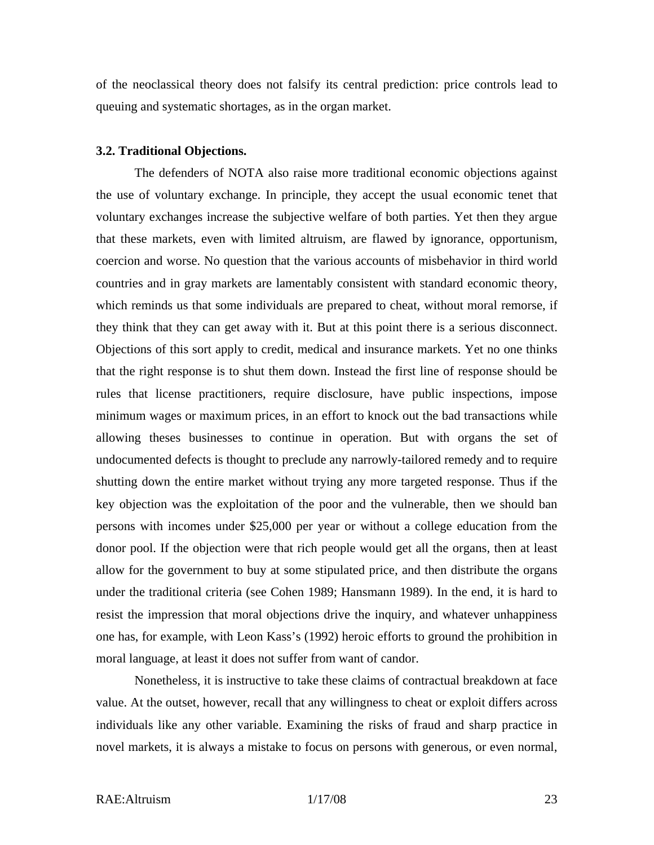of the neoclassical theory does not falsify its central prediction: price controls lead to queuing and systematic shortages, as in the organ market.

#### **3.2. Traditional Objections.**

The defenders of NOTA also raise more traditional economic objections against the use of voluntary exchange. In principle, they accept the usual economic tenet that voluntary exchanges increase the subjective welfare of both parties. Yet then they argue that these markets, even with limited altruism, are flawed by ignorance, opportunism, coercion and worse. No question that the various accounts of misbehavior in third world countries and in gray markets are lamentably consistent with standard economic theory, which reminds us that some individuals are prepared to cheat, without moral remorse, if they think that they can get away with it. But at this point there is a serious disconnect. Objections of this sort apply to credit, medical and insurance markets. Yet no one thinks that the right response is to shut them down. Instead the first line of response should be rules that license practitioners, require disclosure, have public inspections, impose minimum wages or maximum prices, in an effort to knock out the bad transactions while allowing theses businesses to continue in operation. But with organs the set of undocumented defects is thought to preclude any narrowly-tailored remedy and to require shutting down the entire market without trying any more targeted response. Thus if the key objection was the exploitation of the poor and the vulnerable, then we should ban persons with incomes under \$25,000 per year or without a college education from the donor pool. If the objection were that rich people would get all the organs, then at least allow for the government to buy at some stipulated price, and then distribute the organs under the traditional criteria (see Cohen 1989; Hansmann 1989). In the end, it is hard to resist the impression that moral objections drive the inquiry, and whatever unhappiness one has, for example, with Leon Kass's (1992) heroic efforts to ground the prohibition in moral language, at least it does not suffer from want of candor.

Nonetheless, it is instructive to take these claims of contractual breakdown at face value. At the outset, however, recall that any willingness to cheat or exploit differs across individuals like any other variable. Examining the risks of fraud and sharp practice in novel markets, it is always a mistake to focus on persons with generous, or even normal,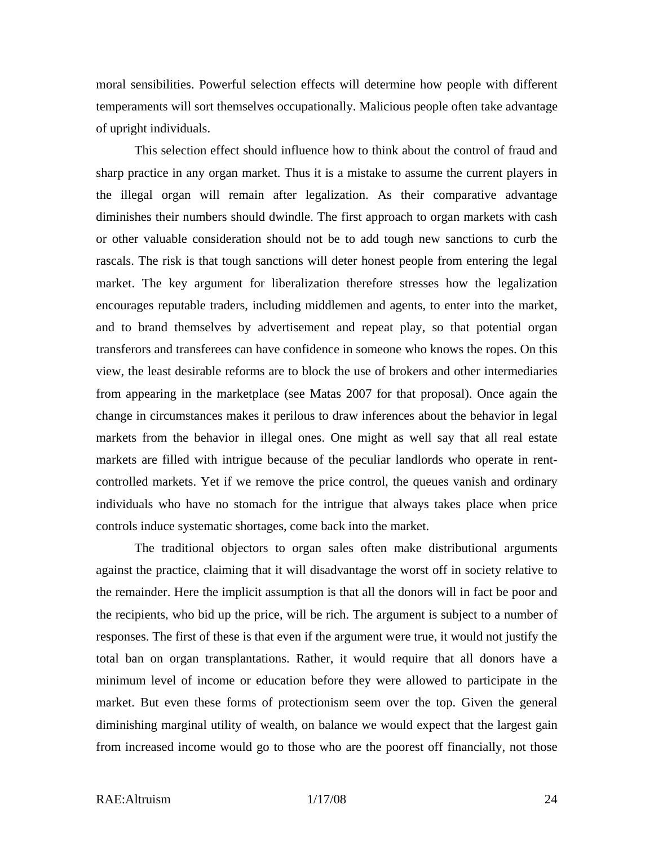moral sensibilities. Powerful selection effects will determine how people with different temperaments will sort themselves occupationally. Malicious people often take advantage of upright individuals.

This selection effect should influence how to think about the control of fraud and sharp practice in any organ market. Thus it is a mistake to assume the current players in the illegal organ will remain after legalization. As their comparative advantage diminishes their numbers should dwindle. The first approach to organ markets with cash or other valuable consideration should not be to add tough new sanctions to curb the rascals. The risk is that tough sanctions will deter honest people from entering the legal market. The key argument for liberalization therefore stresses how the legalization encourages reputable traders, including middlemen and agents, to enter into the market, and to brand themselves by advertisement and repeat play, so that potential organ transferors and transferees can have confidence in someone who knows the ropes. On this view, the least desirable reforms are to block the use of brokers and other intermediaries from appearing in the marketplace (see Matas 2007 for that proposal). Once again the change in circumstances makes it perilous to draw inferences about the behavior in legal markets from the behavior in illegal ones. One might as well say that all real estate markets are filled with intrigue because of the peculiar landlords who operate in rentcontrolled markets. Yet if we remove the price control, the queues vanish and ordinary individuals who have no stomach for the intrigue that always takes place when price controls induce systematic shortages, come back into the market.

The traditional objectors to organ sales often make distributional arguments against the practice, claiming that it will disadvantage the worst off in society relative to the remainder. Here the implicit assumption is that all the donors will in fact be poor and the recipients, who bid up the price, will be rich. The argument is subject to a number of responses. The first of these is that even if the argument were true, it would not justify the total ban on organ transplantations. Rather, it would require that all donors have a minimum level of income or education before they were allowed to participate in the market. But even these forms of protectionism seem over the top. Given the general diminishing marginal utility of wealth, on balance we would expect that the largest gain from increased income would go to those who are the poorest off financially, not those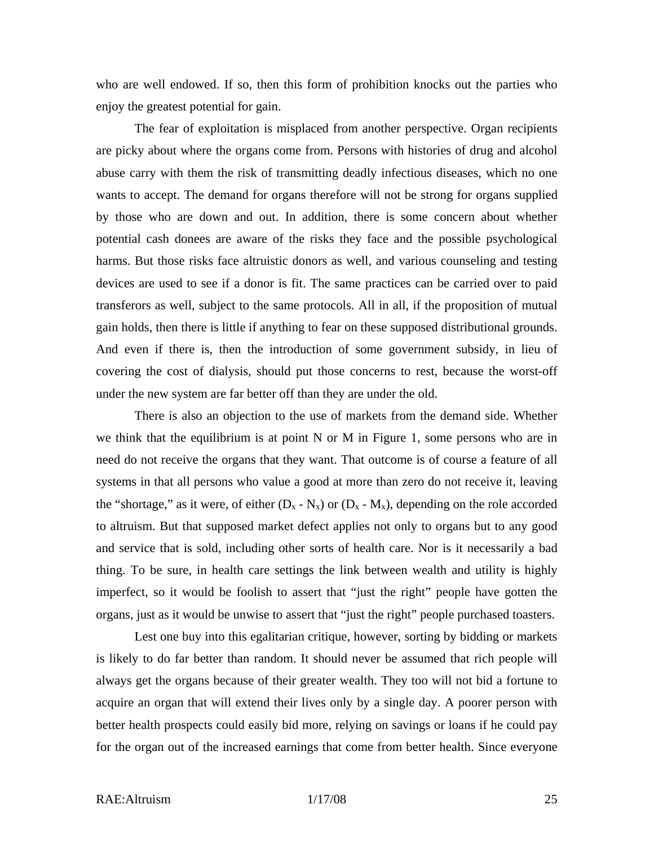who are well endowed. If so, then this form of prohibition knocks out the parties who enjoy the greatest potential for gain.

The fear of exploitation is misplaced from another perspective. Organ recipients are picky about where the organs come from. Persons with histories of drug and alcohol abuse carry with them the risk of transmitting deadly infectious diseases, which no one wants to accept. The demand for organs therefore will not be strong for organs supplied by those who are down and out. In addition, there is some concern about whether potential cash donees are aware of the risks they face and the possible psychological harms. But those risks face altruistic donors as well, and various counseling and testing devices are used to see if a donor is fit. The same practices can be carried over to paid transferors as well, subject to the same protocols. All in all, if the proposition of mutual gain holds, then there is little if anything to fear on these supposed distributional grounds. And even if there is, then the introduction of some government subsidy, in lieu of covering the cost of dialysis, should put those concerns to rest, because the worst-off under the new system are far better off than they are under the old.

There is also an objection to the use of markets from the demand side. Whether we think that the equilibrium is at point N or M in Figure 1, some persons who are in need do not receive the organs that they want. That outcome is of course a feature of all systems in that all persons who value a good at more than zero do not receive it, leaving the "shortage," as it were, of either  $(D_x - N_x)$  or  $(D_x - M_x)$ , depending on the role accorded to altruism. But that supposed market defect applies not only to organs but to any good and service that is sold, including other sorts of health care. Nor is it necessarily a bad thing. To be sure, in health care settings the link between wealth and utility is highly imperfect, so it would be foolish to assert that "just the right" people have gotten the organs, just as it would be unwise to assert that "just the right" people purchased toasters.

Lest one buy into this egalitarian critique, however, sorting by bidding or markets is likely to do far better than random. It should never be assumed that rich people will always get the organs because of their greater wealth. They too will not bid a fortune to acquire an organ that will extend their lives only by a single day. A poorer person with better health prospects could easily bid more, relying on savings or loans if he could pay for the organ out of the increased earnings that come from better health. Since everyone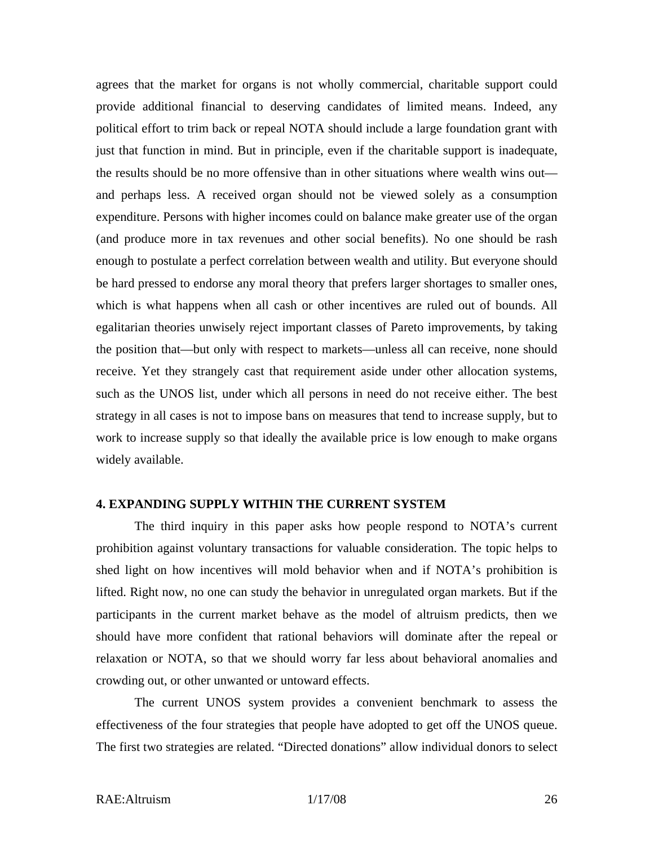agrees that the market for organs is not wholly commercial, charitable support could provide additional financial to deserving candidates of limited means. Indeed, any political effort to trim back or repeal NOTA should include a large foundation grant with just that function in mind. But in principle, even if the charitable support is inadequate, the results should be no more offensive than in other situations where wealth wins out and perhaps less. A received organ should not be viewed solely as a consumption expenditure. Persons with higher incomes could on balance make greater use of the organ (and produce more in tax revenues and other social benefits). No one should be rash enough to postulate a perfect correlation between wealth and utility. But everyone should be hard pressed to endorse any moral theory that prefers larger shortages to smaller ones, which is what happens when all cash or other incentives are ruled out of bounds. All egalitarian theories unwisely reject important classes of Pareto improvements, by taking the position that—but only with respect to markets—unless all can receive, none should receive. Yet they strangely cast that requirement aside under other allocation systems, such as the UNOS list, under which all persons in need do not receive either. The best strategy in all cases is not to impose bans on measures that tend to increase supply, but to work to increase supply so that ideally the available price is low enough to make organs widely available.

#### **4. EXPANDING SUPPLY WITHIN THE CURRENT SYSTEM**

The third inquiry in this paper asks how people respond to NOTA's current prohibition against voluntary transactions for valuable consideration. The topic helps to shed light on how incentives will mold behavior when and if NOTA's prohibition is lifted. Right now, no one can study the behavior in unregulated organ markets. But if the participants in the current market behave as the model of altruism predicts, then we should have more confident that rational behaviors will dominate after the repeal or relaxation or NOTA, so that we should worry far less about behavioral anomalies and crowding out, or other unwanted or untoward effects.

The current UNOS system provides a convenient benchmark to assess the effectiveness of the four strategies that people have adopted to get off the UNOS queue. The first two strategies are related. "Directed donations" allow individual donors to select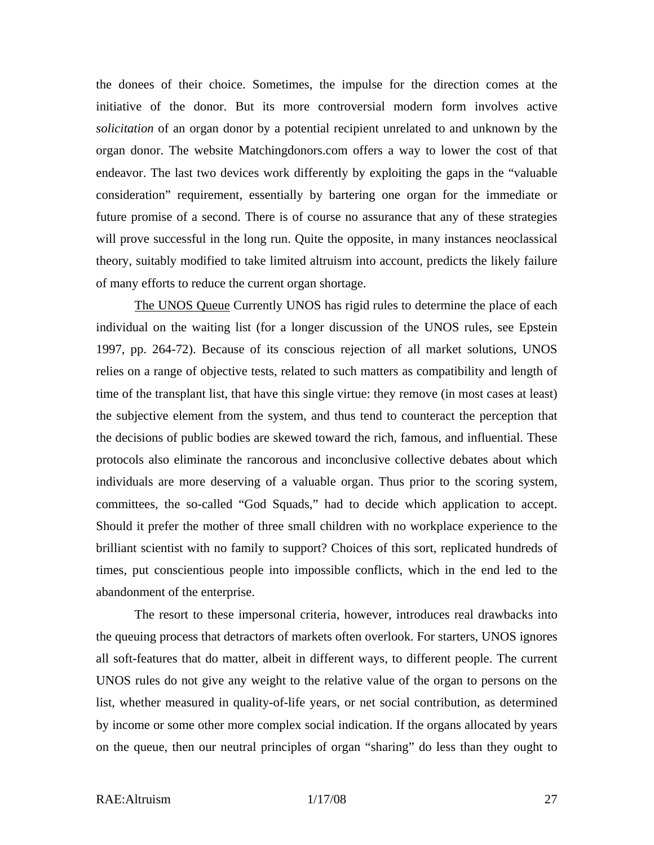the donees of their choice. Sometimes, the impulse for the direction comes at the initiative of the donor. But its more controversial modern form involves active *solicitation* of an organ donor by a potential recipient unrelated to and unknown by the organ donor. The website Matchingdonors.com offers a way to lower the cost of that endeavor. The last two devices work differently by exploiting the gaps in the "valuable consideration" requirement, essentially by bartering one organ for the immediate or future promise of a second. There is of course no assurance that any of these strategies will prove successful in the long run. Quite the opposite, in many instances neoclassical theory, suitably modified to take limited altruism into account, predicts the likely failure of many efforts to reduce the current organ shortage.

The UNOS Queue Currently UNOS has rigid rules to determine the place of each individual on the waiting list (for a longer discussion of the UNOS rules, see Epstein 1997, pp. 264-72). Because of its conscious rejection of all market solutions, UNOS relies on a range of objective tests, related to such matters as compatibility and length of time of the transplant list, that have this single virtue: they remove (in most cases at least) the subjective element from the system, and thus tend to counteract the perception that the decisions of public bodies are skewed toward the rich, famous, and influential. These protocols also eliminate the rancorous and inconclusive collective debates about which individuals are more deserving of a valuable organ. Thus prior to the scoring system, committees, the so-called "God Squads," had to decide which application to accept. Should it prefer the mother of three small children with no workplace experience to the brilliant scientist with no family to support? Choices of this sort, replicated hundreds of times, put conscientious people into impossible conflicts, which in the end led to the abandonment of the enterprise.

The resort to these impersonal criteria, however, introduces real drawbacks into the queuing process that detractors of markets often overlook. For starters, UNOS ignores all soft-features that do matter, albeit in different ways, to different people. The current UNOS rules do not give any weight to the relative value of the organ to persons on the list, whether measured in quality-of-life years, or net social contribution, as determined by income or some other more complex social indication. If the organs allocated by years on the queue, then our neutral principles of organ "sharing" do less than they ought to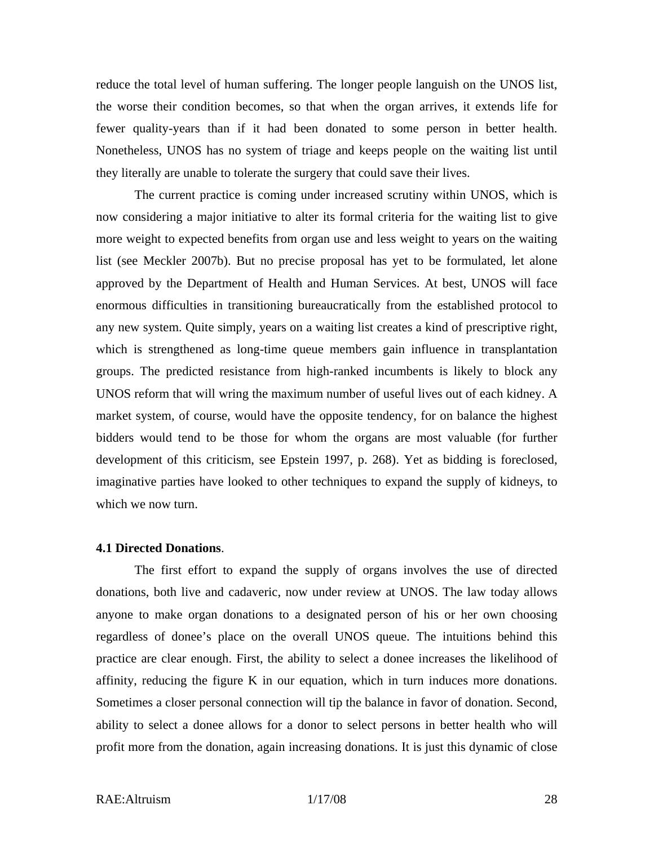reduce the total level of human suffering. The longer people languish on the UNOS list, the worse their condition becomes, so that when the organ arrives, it extends life for fewer quality-years than if it had been donated to some person in better health. Nonetheless, UNOS has no system of triage and keeps people on the waiting list until they literally are unable to tolerate the surgery that could save their lives.

The current practice is coming under increased scrutiny within UNOS, which is now considering a major initiative to alter its formal criteria for the waiting list to give more weight to expected benefits from organ use and less weight to years on the waiting list (see Meckler 2007b). But no precise proposal has yet to be formulated, let alone approved by the Department of Health and Human Services. At best, UNOS will face enormous difficulties in transitioning bureaucratically from the established protocol to any new system. Quite simply, years on a waiting list creates a kind of prescriptive right, which is strengthened as long-time queue members gain influence in transplantation groups. The predicted resistance from high-ranked incumbents is likely to block any UNOS reform that will wring the maximum number of useful lives out of each kidney. A market system, of course, would have the opposite tendency, for on balance the highest bidders would tend to be those for whom the organs are most valuable (for further development of this criticism, see Epstein 1997, p. 268). Yet as bidding is foreclosed, imaginative parties have looked to other techniques to expand the supply of kidneys, to which we now turn.

#### **4.1 Directed Donations**.

The first effort to expand the supply of organs involves the use of directed donations, both live and cadaveric, now under review at UNOS. The law today allows anyone to make organ donations to a designated person of his or her own choosing regardless of donee's place on the overall UNOS queue. The intuitions behind this practice are clear enough. First, the ability to select a donee increases the likelihood of affinity, reducing the figure K in our equation, which in turn induces more donations. Sometimes a closer personal connection will tip the balance in favor of donation. Second, ability to select a donee allows for a donor to select persons in better health who will profit more from the donation, again increasing donations. It is just this dynamic of close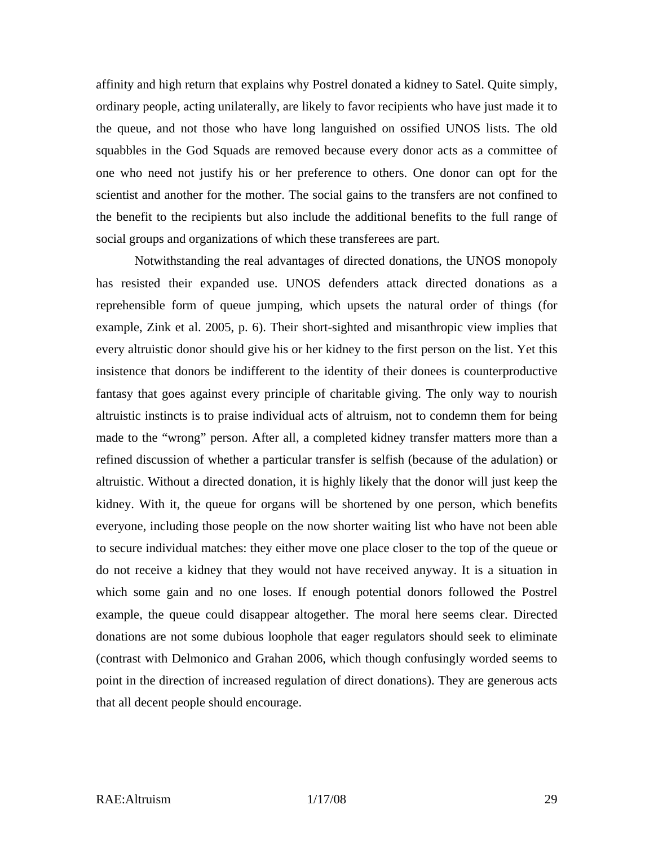affinity and high return that explains why Postrel donated a kidney to Satel. Quite simply, ordinary people, acting unilaterally, are likely to favor recipients who have just made it to the queue, and not those who have long languished on ossified UNOS lists. The old squabbles in the God Squads are removed because every donor acts as a committee of one who need not justify his or her preference to others. One donor can opt for the scientist and another for the mother. The social gains to the transfers are not confined to the benefit to the recipients but also include the additional benefits to the full range of social groups and organizations of which these transferees are part.

Notwithstanding the real advantages of directed donations, the UNOS monopoly has resisted their expanded use. UNOS defenders attack directed donations as a reprehensible form of queue jumping, which upsets the natural order of things (for example, Zink et al. 2005, p. 6). Their short-sighted and misanthropic view implies that every altruistic donor should give his or her kidney to the first person on the list. Yet this insistence that donors be indifferent to the identity of their donees is counterproductive fantasy that goes against every principle of charitable giving. The only way to nourish altruistic instincts is to praise individual acts of altruism, not to condemn them for being made to the "wrong" person. After all, a completed kidney transfer matters more than a refined discussion of whether a particular transfer is selfish (because of the adulation) or altruistic. Without a directed donation, it is highly likely that the donor will just keep the kidney. With it, the queue for organs will be shortened by one person, which benefits everyone, including those people on the now shorter waiting list who have not been able to secure individual matches: they either move one place closer to the top of the queue or do not receive a kidney that they would not have received anyway. It is a situation in which some gain and no one loses. If enough potential donors followed the Postrel example, the queue could disappear altogether. The moral here seems clear. Directed donations are not some dubious loophole that eager regulators should seek to eliminate (contrast with Delmonico and Grahan 2006, which though confusingly worded seems to point in the direction of increased regulation of direct donations). They are generous acts that all decent people should encourage.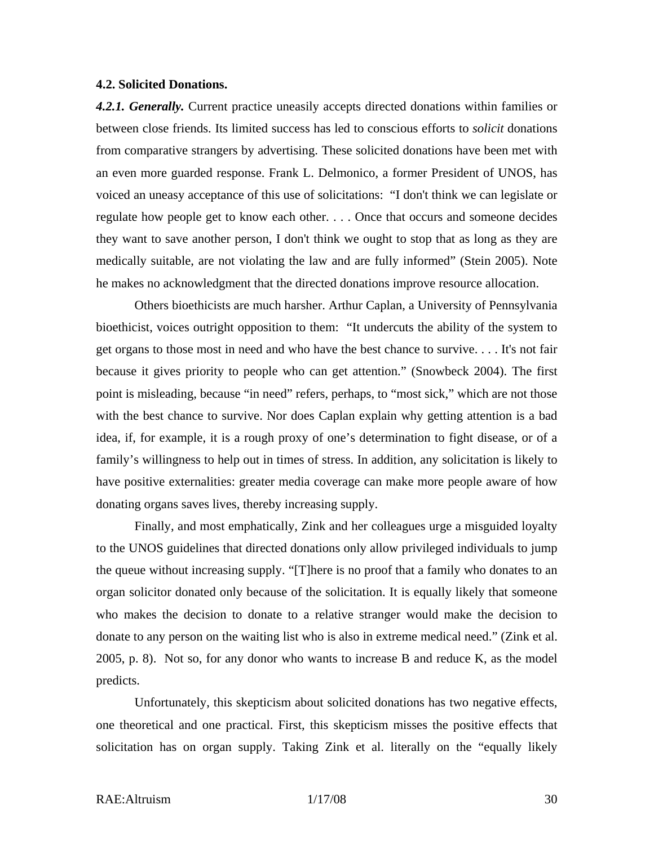#### **4.2. Solicited Donations.**

*4.2.1. Generally.* Current practice uneasily accepts directed donations within families or between close friends. Its limited success has led to conscious efforts to *solicit* donations from comparative strangers by advertising. These solicited donations have been met with an even more guarded response. Frank L. Delmonico, a former President of UNOS, has voiced an uneasy acceptance of this use of solicitations: "I don't think we can legislate or regulate how people get to know each other. . . . Once that occurs and someone decides they want to save another person, I don't think we ought to stop that as long as they are medically suitable, are not violating the law and are fully informed" (Stein 2005). Note he makes no acknowledgment that the directed donations improve resource allocation.

Others bioethicists are much harsher. Arthur Caplan, a University of Pennsylvania bioethicist, voices outright opposition to them: "It undercuts the ability of the system to get organs to those most in need and who have the best chance to survive. . . . It's not fair because it gives priority to people who can get attention." (Snowbeck 2004). The first point is misleading, because "in need" refers, perhaps, to "most sick," which are not those with the best chance to survive. Nor does Caplan explain why getting attention is a bad idea, if, for example, it is a rough proxy of one's determination to fight disease, or of a family's willingness to help out in times of stress. In addition, any solicitation is likely to have positive externalities: greater media coverage can make more people aware of how donating organs saves lives, thereby increasing supply.

Finally, and most emphatically, Zink and her colleagues urge a misguided loyalty to the UNOS guidelines that directed donations only allow privileged individuals to jump the queue without increasing supply. "[T]here is no proof that a family who donates to an organ solicitor donated only because of the solicitation. It is equally likely that someone who makes the decision to donate to a relative stranger would make the decision to donate to any person on the waiting list who is also in extreme medical need." (Zink et al. 2005, p. 8). Not so, for any donor who wants to increase B and reduce K, as the model predicts.

Unfortunately, this skepticism about solicited donations has two negative effects, one theoretical and one practical. First, this skepticism misses the positive effects that solicitation has on organ supply. Taking Zink et al. literally on the "equally likely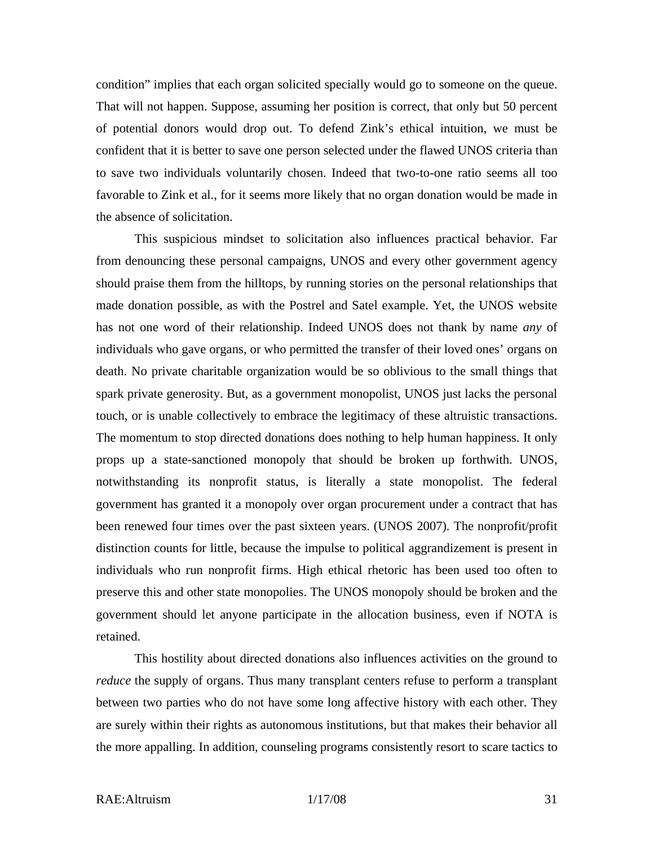condition" implies that each organ solicited specially would go to someone on the queue. That will not happen. Suppose, assuming her position is correct, that only but 50 percent of potential donors would drop out. To defend Zink's ethical intuition, we must be confident that it is better to save one person selected under the flawed UNOS criteria than to save two individuals voluntarily chosen. Indeed that two-to-one ratio seems all too favorable to Zink et al., for it seems more likely that no organ donation would be made in the absence of solicitation.

This suspicious mindset to solicitation also influences practical behavior. Far from denouncing these personal campaigns, UNOS and every other government agency should praise them from the hilltops, by running stories on the personal relationships that made donation possible, as with the Postrel and Satel example. Yet, the UNOS website has not one word of their relationship. Indeed UNOS does not thank by name *any* of individuals who gave organs, or who permitted the transfer of their loved ones' organs on death. No private charitable organization would be so oblivious to the small things that spark private generosity. But, as a government monopolist, UNOS just lacks the personal touch, or is unable collectively to embrace the legitimacy of these altruistic transactions. The momentum to stop directed donations does nothing to help human happiness. It only props up a state-sanctioned monopoly that should be broken up forthwith. UNOS, notwithstanding its nonprofit status, is literally a state monopolist. The federal government has granted it a monopoly over organ procurement under a contract that has been renewed four times over the past sixteen years. (UNOS 2007)*.* The nonprofit/profit distinction counts for little, because the impulse to political aggrandizement is present in individuals who run nonprofit firms. High ethical rhetoric has been used too often to preserve this and other state monopolies. The UNOS monopoly should be broken and the government should let anyone participate in the allocation business, even if NOTA is retained.

This hostility about directed donations also influences activities on the ground to *reduce* the supply of organs. Thus many transplant centers refuse to perform a transplant between two parties who do not have some long affective history with each other. They are surely within their rights as autonomous institutions, but that makes their behavior all the more appalling. In addition, counseling programs consistently resort to scare tactics to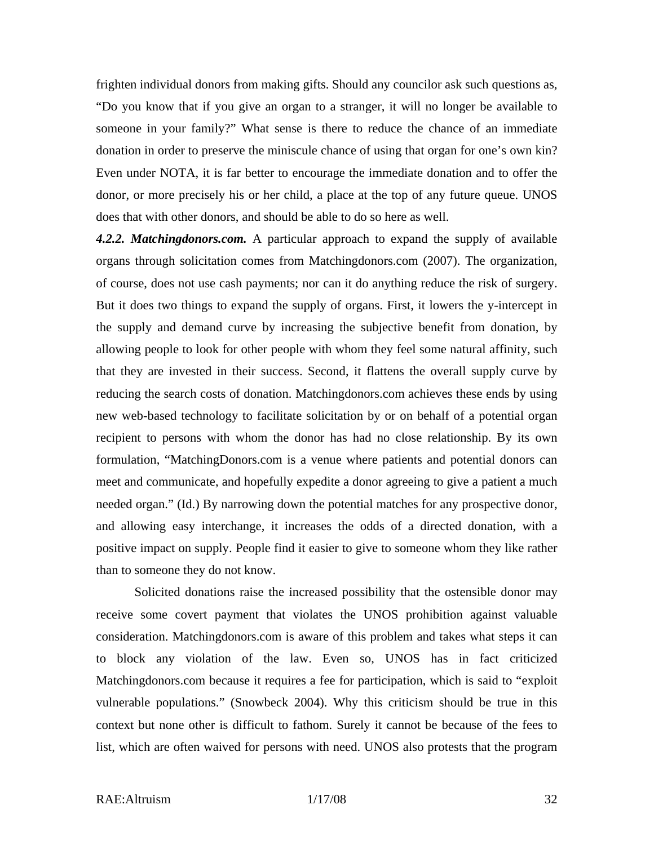frighten individual donors from making gifts. Should any councilor ask such questions as, "Do you know that if you give an organ to a stranger, it will no longer be available to someone in your family?" What sense is there to reduce the chance of an immediate donation in order to preserve the miniscule chance of using that organ for one's own kin? Even under NOTA, it is far better to encourage the immediate donation and to offer the donor, or more precisely his or her child, a place at the top of any future queue. UNOS does that with other donors, and should be able to do so here as well.

*4.2.2. Matchingdonors.com.* A particular approach to expand the supply of available organs through solicitation comes from Matchingdonors.com (2007). The organization, of course, does not use cash payments; nor can it do anything reduce the risk of surgery. But it does two things to expand the supply of organs. First, it lowers the y-intercept in the supply and demand curve by increasing the subjective benefit from donation, by allowing people to look for other people with whom they feel some natural affinity, such that they are invested in their success. Second, it flattens the overall supply curve by reducing the search costs of donation. Matchingdonors.com achieves these ends by using new web-based technology to facilitate solicitation by or on behalf of a potential organ recipient to persons with whom the donor has had no close relationship. By its own formulation, "MatchingDonors.com is a venue where patients and potential donors can meet and communicate, and hopefully expedite a donor agreeing to give a patient a much needed organ." (Id.) By narrowing down the potential matches for any prospective donor, and allowing easy interchange, it increases the odds of a directed donation, with a positive impact on supply. People find it easier to give to someone whom they like rather than to someone they do not know.

Solicited donations raise the increased possibility that the ostensible donor may receive some covert payment that violates the UNOS prohibition against valuable consideration. Matchingdonors.com is aware of this problem and takes what steps it can to block any violation of the law. Even so, UNOS has in fact criticized Matchingdonors.com because it requires a fee for participation, which is said to "exploit vulnerable populations." (Snowbeck 2004). Why this criticism should be true in this context but none other is difficult to fathom. Surely it cannot be because of the fees to list, which are often waived for persons with need. UNOS also protests that the program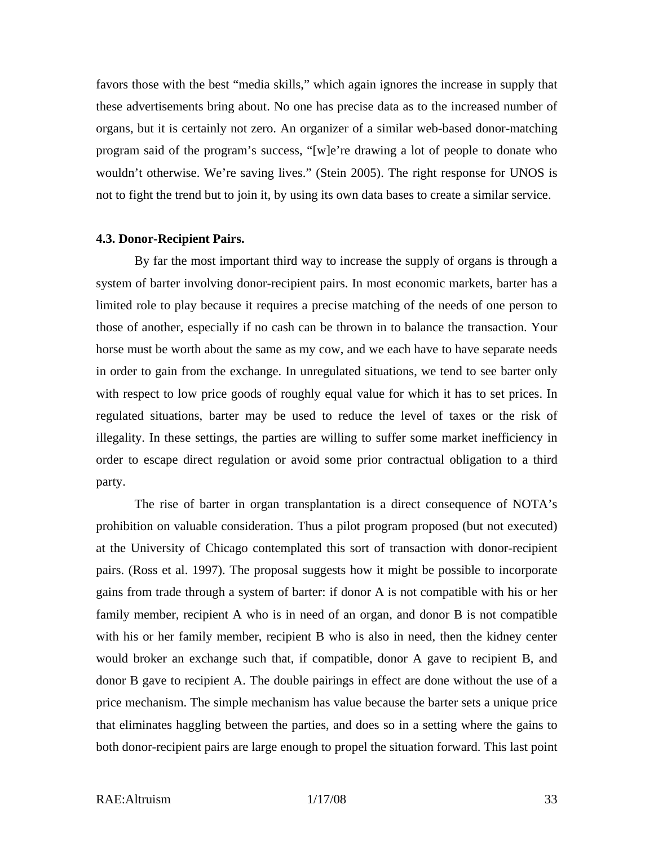favors those with the best "media skills," which again ignores the increase in supply that these advertisements bring about. No one has precise data as to the increased number of organs, but it is certainly not zero. An organizer of a similar web-based donor-matching program said of the program's success, "[w]e're drawing a lot of people to donate who wouldn't otherwise. We're saving lives." (Stein 2005). The right response for UNOS is not to fight the trend but to join it, by using its own data bases to create a similar service.

#### **4.3. Donor-Recipient Pairs.**

By far the most important third way to increase the supply of organs is through a system of barter involving donor-recipient pairs. In most economic markets, barter has a limited role to play because it requires a precise matching of the needs of one person to those of another, especially if no cash can be thrown in to balance the transaction. Your horse must be worth about the same as my cow, and we each have to have separate needs in order to gain from the exchange. In unregulated situations, we tend to see barter only with respect to low price goods of roughly equal value for which it has to set prices. In regulated situations, barter may be used to reduce the level of taxes or the risk of illegality. In these settings, the parties are willing to suffer some market inefficiency in order to escape direct regulation or avoid some prior contractual obligation to a third party.

The rise of barter in organ transplantation is a direct consequence of NOTA's prohibition on valuable consideration. Thus a pilot program proposed (but not executed) at the University of Chicago contemplated this sort of transaction with donor-recipient pairs. (Ross et al. 1997). The proposal suggests how it might be possible to incorporate gains from trade through a system of barter: if donor A is not compatible with his or her family member, recipient A who is in need of an organ, and donor B is not compatible with his or her family member, recipient B who is also in need, then the kidney center would broker an exchange such that, if compatible, donor A gave to recipient B, and donor B gave to recipient A. The double pairings in effect are done without the use of a price mechanism. The simple mechanism has value because the barter sets a unique price that eliminates haggling between the parties, and does so in a setting where the gains to both donor-recipient pairs are large enough to propel the situation forward. This last point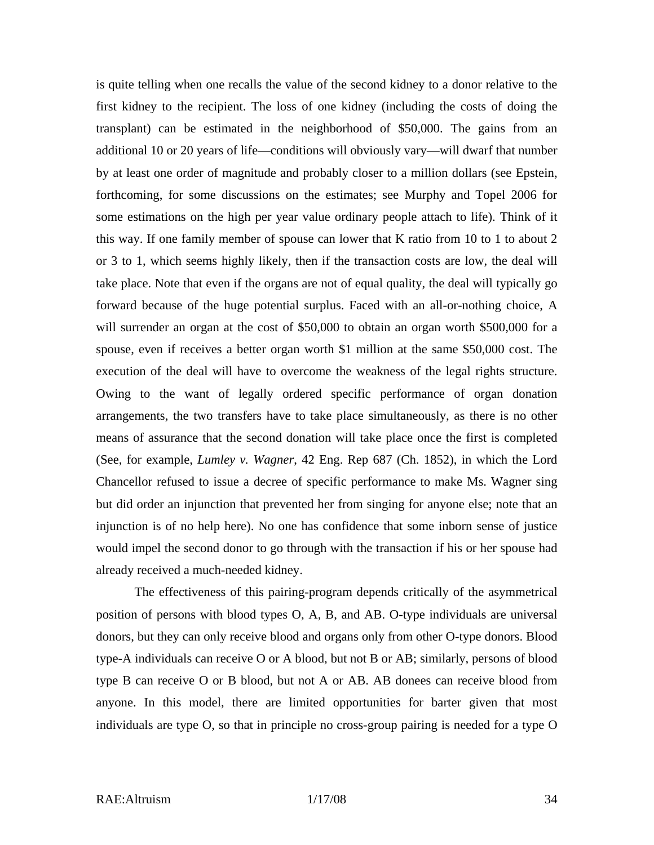is quite telling when one recalls the value of the second kidney to a donor relative to the first kidney to the recipient. The loss of one kidney (including the costs of doing the transplant) can be estimated in the neighborhood of \$50,000. The gains from an additional 10 or 20 years of life—conditions will obviously vary—will dwarf that number by at least one order of magnitude and probably closer to a million dollars (see Epstein, forthcoming, for some discussions on the estimates; see Murphy and Topel 2006 for some estimations on the high per year value ordinary people attach to life). Think of it this way. If one family member of spouse can lower that K ratio from 10 to 1 to about 2 or 3 to 1, which seems highly likely, then if the transaction costs are low, the deal will take place. Note that even if the organs are not of equal quality, the deal will typically go forward because of the huge potential surplus. Faced with an all-or-nothing choice, A will surrender an organ at the cost of \$50,000 to obtain an organ worth \$500,000 for a spouse, even if receives a better organ worth \$1 million at the same \$50,000 cost. The execution of the deal will have to overcome the weakness of the legal rights structure. Owing to the want of legally ordered specific performance of organ donation arrangements, the two transfers have to take place simultaneously, as there is no other means of assurance that the second donation will take place once the first is completed (See, for example, *Lumley v. Wagner*, 42 Eng. Rep 687 (Ch. 1852), in which the Lord Chancellor refused to issue a decree of specific performance to make Ms. Wagner sing but did order an injunction that prevented her from singing for anyone else; note that an injunction is of no help here). No one has confidence that some inborn sense of justice would impel the second donor to go through with the transaction if his or her spouse had already received a much-needed kidney.

The effectiveness of this pairing-program depends critically of the asymmetrical position of persons with blood types O, A, B, and AB. O-type individuals are universal donors, but they can only receive blood and organs only from other O-type donors. Blood type-A individuals can receive O or A blood, but not B or AB; similarly, persons of blood type B can receive O or B blood, but not A or AB. AB donees can receive blood from anyone. In this model, there are limited opportunities for barter given that most individuals are type O, so that in principle no cross-group pairing is needed for a type O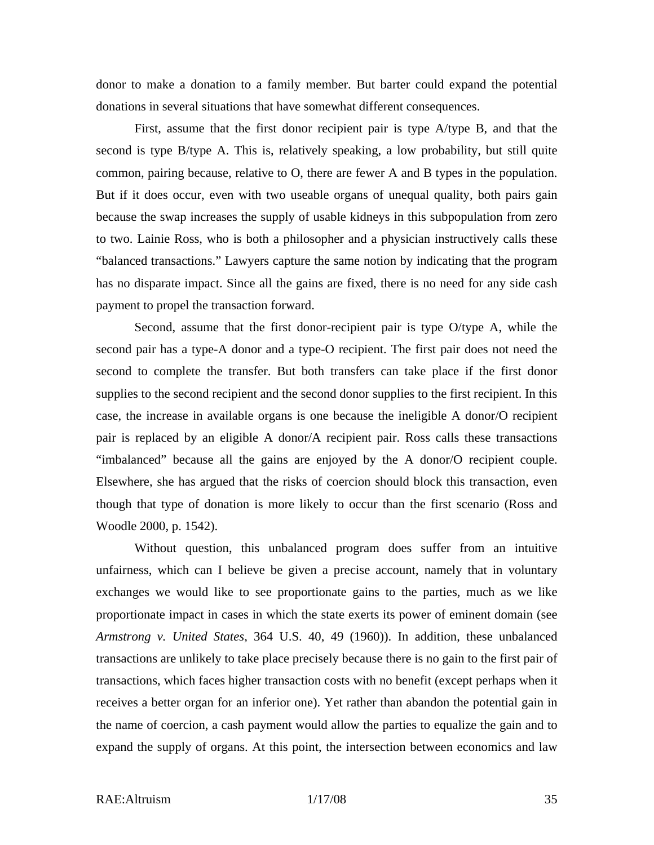donor to make a donation to a family member. But barter could expand the potential donations in several situations that have somewhat different consequences.

First, assume that the first donor recipient pair is type A/type B, and that the second is type B/type A. This is, relatively speaking, a low probability, but still quite common, pairing because, relative to O, there are fewer A and B types in the population. But if it does occur, even with two useable organs of unequal quality, both pairs gain because the swap increases the supply of usable kidneys in this subpopulation from zero to two. Lainie Ross, who is both a philosopher and a physician instructively calls these "balanced transactions." Lawyers capture the same notion by indicating that the program has no disparate impact. Since all the gains are fixed, there is no need for any side cash payment to propel the transaction forward.

Second, assume that the first donor-recipient pair is type O/type A, while the second pair has a type-A donor and a type-O recipient. The first pair does not need the second to complete the transfer. But both transfers can take place if the first donor supplies to the second recipient and the second donor supplies to the first recipient. In this case, the increase in available organs is one because the ineligible A donor/O recipient pair is replaced by an eligible A donor/A recipient pair. Ross calls these transactions "imbalanced" because all the gains are enjoyed by the A donor/O recipient couple. Elsewhere, she has argued that the risks of coercion should block this transaction, even though that type of donation is more likely to occur than the first scenario (Ross and Woodle 2000, p. 1542).

Without question, this unbalanced program does suffer from an intuitive unfairness, which can I believe be given a precise account, namely that in voluntary exchanges we would like to see proportionate gains to the parties, much as we like proportionate impact in cases in which the state exerts its power of eminent domain (see *Armstrong v. United States*, 364 U.S. 40, 49 (1960)). In addition, these unbalanced transactions are unlikely to take place precisely because there is no gain to the first pair of transactions, which faces higher transaction costs with no benefit (except perhaps when it receives a better organ for an inferior one). Yet rather than abandon the potential gain in the name of coercion, a cash payment would allow the parties to equalize the gain and to expand the supply of organs. At this point, the intersection between economics and law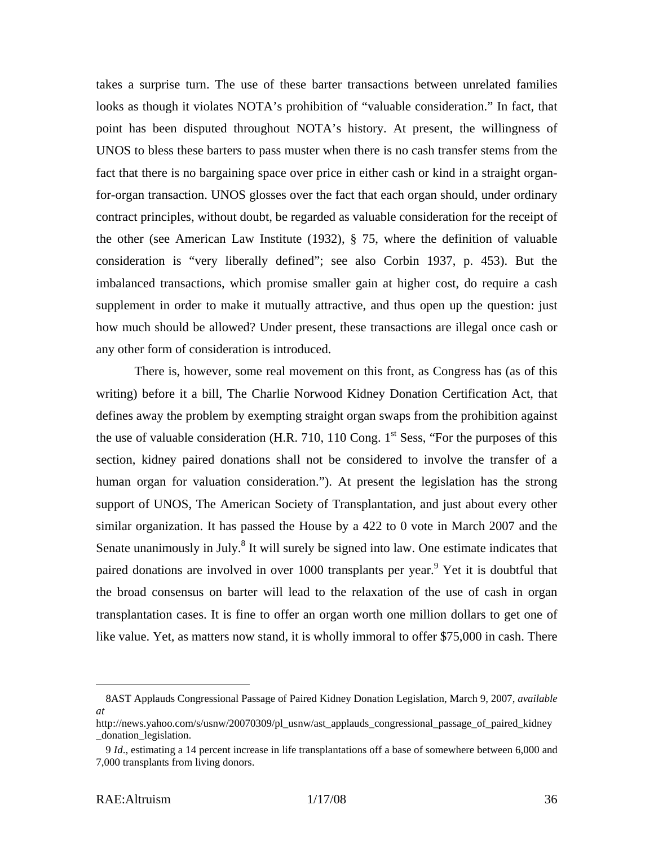takes a surprise turn. The use of these barter transactions between unrelated families looks as though it violates NOTA's prohibition of "valuable consideration." In fact, that point has been disputed throughout NOTA's history. At present, the willingness of UNOS to bless these barters to pass muster when there is no cash transfer stems from the fact that there is no bargaining space over price in either cash or kind in a straight organfor-organ transaction. UNOS glosses over the fact that each organ should, under ordinary contract principles, without doubt, be regarded as valuable consideration for the receipt of the other (see American Law Institute (1932), § 75, where the definition of valuable consideration is "very liberally defined"; see also Corbin 1937, p. 453). But the imbalanced transactions, which promise smaller gain at higher cost, do require a cash supplement in order to make it mutually attractive, and thus open up the question: just how much should be allowed? Under present, these transactions are illegal once cash or any other form of consideration is introduced.

There is, however, some real movement on this front, as Congress has (as of this writing) before it a bill, The Charlie Norwood Kidney Donation Certification Act, that defines away the problem by exempting straight organ swaps from the prohibition against the use of valuable consideration (H.R. 710, 110 Cong.  $1<sup>st</sup>$  Sess, "For the purposes of this section, kidney paired donations shall not be considered to involve the transfer of a human organ for valuation consideration."). At present the legislation has the strong support of UNOS, The American Society of Transplantation, and just about every other similar organization. It has passed the House by a 422 to 0 vote in March 2007 and the Senate unanimously in July.<sup>8</sup> It will surely be signed into law. One estimate indicates that paired donations are involved in over 1000 transplants per year.<sup>9</sup> Yet it is doubtful that the broad consensus on barter will lead to the relaxation of the use of cash in organ transplantation cases. It is fine to offer an organ worth one million dollars to get one of like value. Yet, as matters now stand, it is wholly immoral to offer \$75,000 in cash. There

<sup>8</sup>AST Applauds Congressional Passage of Paired Kidney Donation Legislation, March 9, 2007, *available at*

http://news.yahoo.com/s/usnw/20070309/pl\_usnw/ast\_applauds\_congressional\_passage\_of\_paired\_kidney \_donation\_legislation.

<sup>9</sup> *Id*., estimating a 14 percent increase in life transplantations off a base of somewhere between 6,000 and 7,000 transplants from living donors.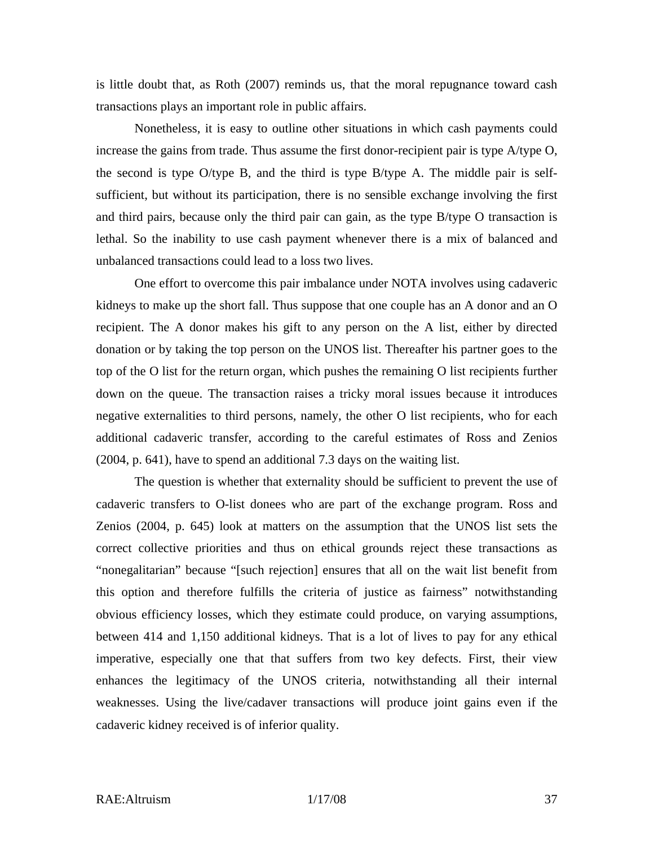is little doubt that, as Roth (2007) reminds us, that the moral repugnance toward cash transactions plays an important role in public affairs.

Nonetheless, it is easy to outline other situations in which cash payments could increase the gains from trade. Thus assume the first donor-recipient pair is type A/type O, the second is type O/type B, and the third is type B/type A. The middle pair is selfsufficient, but without its participation, there is no sensible exchange involving the first and third pairs, because only the third pair can gain, as the type B/type O transaction is lethal. So the inability to use cash payment whenever there is a mix of balanced and unbalanced transactions could lead to a loss two lives.

One effort to overcome this pair imbalance under NOTA involves using cadaveric kidneys to make up the short fall. Thus suppose that one couple has an A donor and an O recipient. The A donor makes his gift to any person on the A list, either by directed donation or by taking the top person on the UNOS list. Thereafter his partner goes to the top of the O list for the return organ, which pushes the remaining O list recipients further down on the queue. The transaction raises a tricky moral issues because it introduces negative externalities to third persons, namely, the other O list recipients, who for each additional cadaveric transfer, according to the careful estimates of Ross and Zenios (2004, p. 641), have to spend an additional 7.3 days on the waiting list.

The question is whether that externality should be sufficient to prevent the use of cadaveric transfers to O-list donees who are part of the exchange program. Ross and Zenios (2004, p. 645) look at matters on the assumption that the UNOS list sets the correct collective priorities and thus on ethical grounds reject these transactions as "nonegalitarian" because "[such rejection] ensures that all on the wait list benefit from this option and therefore fulfills the criteria of justice as fairness" notwithstanding obvious efficiency losses, which they estimate could produce, on varying assumptions, between 414 and 1,150 additional kidneys. That is a lot of lives to pay for any ethical imperative, especially one that that suffers from two key defects. First, their view enhances the legitimacy of the UNOS criteria, notwithstanding all their internal weaknesses. Using the live/cadaver transactions will produce joint gains even if the cadaveric kidney received is of inferior quality.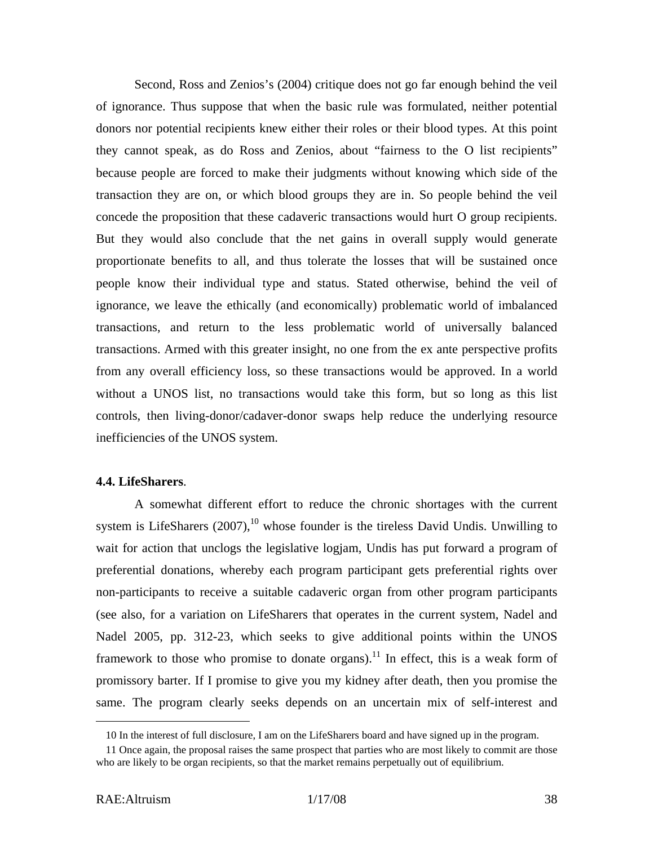Second, Ross and Zenios's (2004) critique does not go far enough behind the veil of ignorance. Thus suppose that when the basic rule was formulated, neither potential donors nor potential recipients knew either their roles or their blood types. At this point they cannot speak, as do Ross and Zenios, about "fairness to the O list recipients" because people are forced to make their judgments without knowing which side of the transaction they are on, or which blood groups they are in. So people behind the veil concede the proposition that these cadaveric transactions would hurt O group recipients. But they would also conclude that the net gains in overall supply would generate proportionate benefits to all, and thus tolerate the losses that will be sustained once people know their individual type and status. Stated otherwise, behind the veil of ignorance, we leave the ethically (and economically) problematic world of imbalanced transactions, and return to the less problematic world of universally balanced transactions. Armed with this greater insight, no one from the ex ante perspective profits from any overall efficiency loss, so these transactions would be approved. In a world without a UNOS list, no transactions would take this form, but so long as this list controls, then living-donor/cadaver-donor swaps help reduce the underlying resource inefficiencies of the UNOS system.

#### **4.4. LifeSharers**.

A somewhat different effort to reduce the chronic shortages with the current system is LifeSharers  $(2007)$ ,<sup>10</sup> whose founder is the tireless David Undis. Unwilling to wait for action that unclogs the legislative logjam, Undis has put forward a program of preferential donations, whereby each program participant gets preferential rights over non-participants to receive a suitable cadaveric organ from other program participants (see also, for a variation on LifeSharers that operates in the current system, Nadel and Nadel 2005, pp. 312-23, which seeks to give additional points within the UNOS framework to those who promise to donate organs).<sup>11</sup> In effect, this is a weak form of promissory barter. If I promise to give you my kidney after death, then you promise the same. The program clearly seeks depends on an uncertain mix of self-interest and

<sup>10</sup> In the interest of full disclosure, I am on the LifeSharers board and have signed up in the program.

<sup>11</sup> Once again, the proposal raises the same prospect that parties who are most likely to commit are those who are likely to be organ recipients, so that the market remains perpetually out of equilibrium.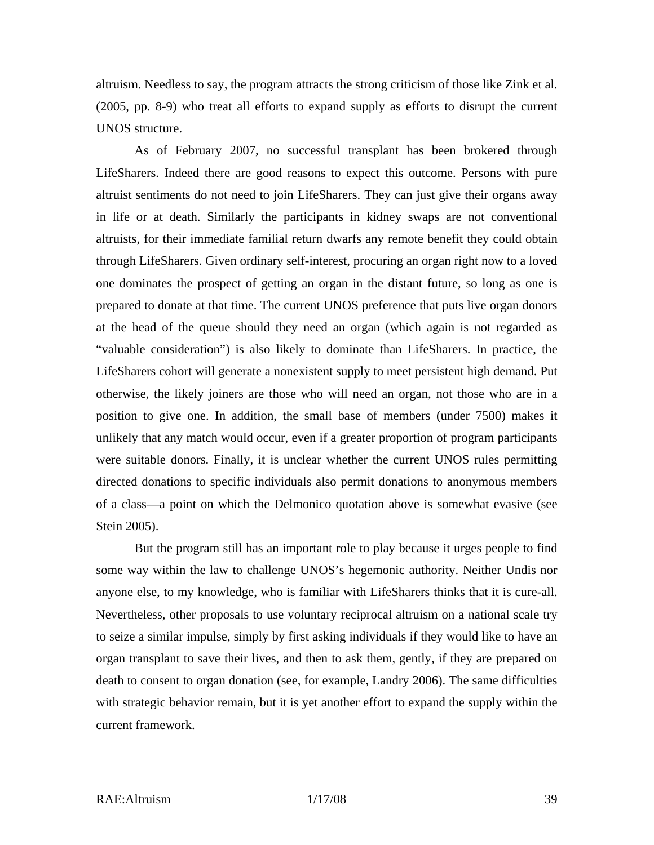altruism. Needless to say, the program attracts the strong criticism of those like Zink et al. (2005, pp. 8-9) who treat all efforts to expand supply as efforts to disrupt the current UNOS structure.

As of February 2007, no successful transplant has been brokered through LifeSharers. Indeed there are good reasons to expect this outcome. Persons with pure altruist sentiments do not need to join LifeSharers. They can just give their organs away in life or at death. Similarly the participants in kidney swaps are not conventional altruists, for their immediate familial return dwarfs any remote benefit they could obtain through LifeSharers. Given ordinary self-interest, procuring an organ right now to a loved one dominates the prospect of getting an organ in the distant future, so long as one is prepared to donate at that time. The current UNOS preference that puts live organ donors at the head of the queue should they need an organ (which again is not regarded as "valuable consideration") is also likely to dominate than LifeSharers. In practice, the LifeSharers cohort will generate a nonexistent supply to meet persistent high demand. Put otherwise, the likely joiners are those who will need an organ, not those who are in a position to give one. In addition, the small base of members (under 7500) makes it unlikely that any match would occur, even if a greater proportion of program participants were suitable donors. Finally, it is unclear whether the current UNOS rules permitting directed donations to specific individuals also permit donations to anonymous members of a class—a point on which the Delmonico quotation above is somewhat evasive (see Stein 2005).

But the program still has an important role to play because it urges people to find some way within the law to challenge UNOS's hegemonic authority. Neither Undis nor anyone else, to my knowledge, who is familiar with LifeSharers thinks that it is cure-all. Nevertheless, other proposals to use voluntary reciprocal altruism on a national scale try to seize a similar impulse, simply by first asking individuals if they would like to have an organ transplant to save their lives, and then to ask them, gently, if they are prepared on death to consent to organ donation (see, for example, Landry 2006). The same difficulties with strategic behavior remain, but it is yet another effort to expand the supply within the current framework.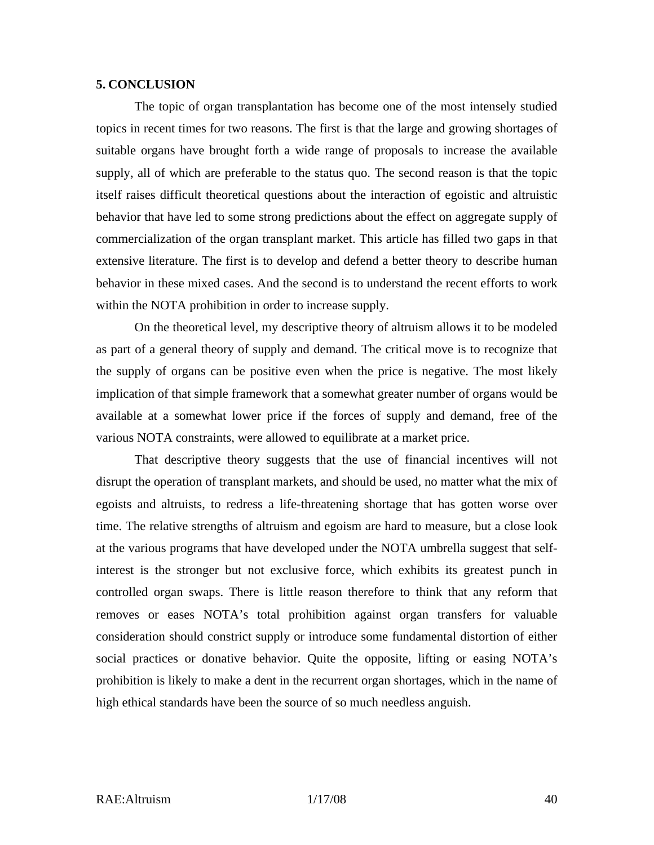#### **5. CONCLUSION**

The topic of organ transplantation has become one of the most intensely studied topics in recent times for two reasons. The first is that the large and growing shortages of suitable organs have brought forth a wide range of proposals to increase the available supply, all of which are preferable to the status quo. The second reason is that the topic itself raises difficult theoretical questions about the interaction of egoistic and altruistic behavior that have led to some strong predictions about the effect on aggregate supply of commercialization of the organ transplant market. This article has filled two gaps in that extensive literature. The first is to develop and defend a better theory to describe human behavior in these mixed cases. And the second is to understand the recent efforts to work within the NOTA prohibition in order to increase supply.

On the theoretical level, my descriptive theory of altruism allows it to be modeled as part of a general theory of supply and demand. The critical move is to recognize that the supply of organs can be positive even when the price is negative. The most likely implication of that simple framework that a somewhat greater number of organs would be available at a somewhat lower price if the forces of supply and demand, free of the various NOTA constraints, were allowed to equilibrate at a market price.

That descriptive theory suggests that the use of financial incentives will not disrupt the operation of transplant markets, and should be used, no matter what the mix of egoists and altruists, to redress a life-threatening shortage that has gotten worse over time. The relative strengths of altruism and egoism are hard to measure, but a close look at the various programs that have developed under the NOTA umbrella suggest that selfinterest is the stronger but not exclusive force, which exhibits its greatest punch in controlled organ swaps. There is little reason therefore to think that any reform that removes or eases NOTA's total prohibition against organ transfers for valuable consideration should constrict supply or introduce some fundamental distortion of either social practices or donative behavior. Quite the opposite, lifting or easing NOTA's prohibition is likely to make a dent in the recurrent organ shortages, which in the name of high ethical standards have been the source of so much needless anguish.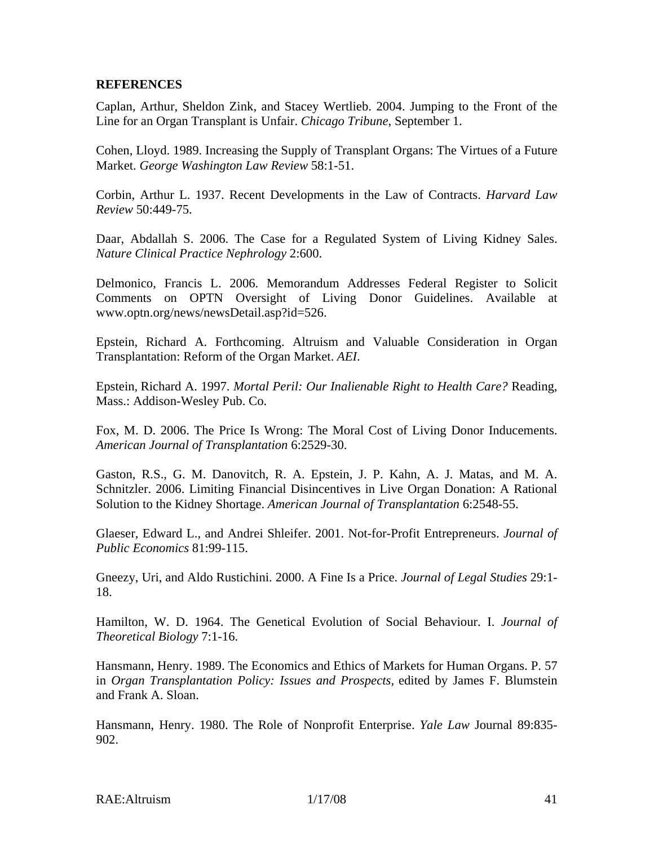#### **REFERENCES**

Caplan, Arthur, Sheldon Zink, and Stacey Wertlieb. 2004. Jumping to the Front of the Line for an Organ Transplant is Unfair. *Chicago Tribune*, September 1.

Cohen, Lloyd. 1989. Increasing the Supply of Transplant Organs: The Virtues of a Future Market. *George Washington Law Review* 58:1-51.

Corbin, Arthur L. 1937. Recent Developments in the Law of Contracts. *Harvard Law Review* 50:449-75.

Daar, Abdallah S. 2006. The Case for a Regulated System of Living Kidney Sales. *Nature Clinical Practice Nephrology* 2:600.

Delmonico, Francis L. 2006. Memorandum Addresses Federal Register to Solicit Comments on OPTN Oversight of Living Donor Guidelines. Available at www.optn.org/news/newsDetail.asp?id=526.

Epstein, Richard A. Forthcoming. Altruism and Valuable Consideration in Organ Transplantation: Reform of the Organ Market. *AEI*.

Epstein, Richard A. 1997. *Mortal Peril: Our Inalienable Right to Health Care?* Reading, Mass.: Addison-Wesley Pub. Co.

Fox, M. D. 2006. The Price Is Wrong: The Moral Cost of Living Donor Inducements. *American Journal of Transplantation* 6:2529-30.

Gaston, R.S., G. M. Danovitch, R. A. Epstein, J. P. Kahn, A. J. Matas, and M. A. Schnitzler. 2006. Limiting Financial Disincentives in Live Organ Donation: A Rational Solution to the Kidney Shortage. *American Journal of Transplantation* 6:2548-55.

Glaeser, Edward L., and Andrei Shleifer. 2001. Not-for-Profit Entrepreneurs. *Journal of Public Economics* 81:99-115.

Gneezy, Uri, and Aldo Rustichini. 2000. A Fine Is a Price. *Journal of Legal Studies* 29:1- 18.

Hamilton, W. D. 1964. The Genetical Evolution of Social Behaviour. I. *Journal of Theoretical Biology* 7:1-16.

Hansmann, Henry. 1989. The Economics and Ethics of Markets for Human Organs. P. 57 in *Organ Transplantation Policy: Issues and Prospects*, edited by James F. Blumstein and Frank A. Sloan.

Hansmann, Henry. 1980. The Role of Nonprofit Enterprise. *Yale Law* Journal 89:835- 902.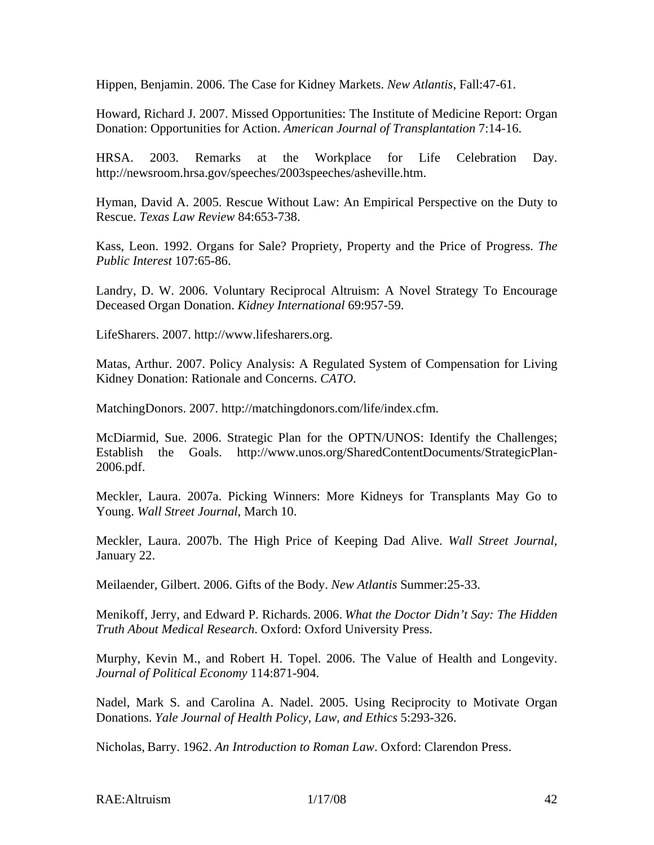Hippen, Benjamin. 2006. The Case for Kidney Markets. *New Atlantis*, Fall:47-61.

Howard, Richard J. 2007. Missed Opportunities: The Institute of Medicine Report: Organ Donation: Opportunities for Action. *American Journal of Transplantation* 7:14-16.

HRSA. 2003. Remarks at the Workplace for Life Celebration Day. http://newsroom.hrsa.gov/speeches/2003speeches/asheville.htm.

Hyman, David A. 2005. Rescue Without Law: An Empirical Perspective on the Duty to Rescue. *Texas Law Review* 84:653-738.

Kass, Leon. 1992. Organs for Sale? Propriety, Property and the Price of Progress. *The Public Interest* 107:65-86.

Landry, D. W. 2006. Voluntary Reciprocal Altruism: A Novel Strategy To Encourage Deceased Organ Donation. *Kidney International* 69:957-59.

LifeSharers. 2007. http://www.lifesharers.org.

Matas, Arthur. 2007. Policy Analysis: A Regulated System of Compensation for Living Kidney Donation: Rationale and Concerns. *CATO*.

MatchingDonors. 2007. http://matchingdonors.com/life/index.cfm.

McDiarmid, Sue. 2006. Strategic Plan for the OPTN/UNOS: Identify the Challenges; Establish the Goals. http://www.unos.org/SharedContentDocuments/StrategicPlan-2006.pdf.

Meckler, Laura. 2007a. Picking Winners: More Kidneys for Transplants May Go to Young. *Wall Street Journal*, March 10.

Meckler, Laura. 2007b. The High Price of Keeping Dad Alive. *Wall Street Journal*, January 22.

Meilaender, Gilbert. 2006. Gifts of the Body. *New Atlantis* Summer:25-33.

Menikoff, Jerry, and Edward P. Richards. 2006. *What the Doctor Didn't Say: The Hidden Truth About Medical Research*. Oxford: Oxford University Press.

Murphy, Kevin M., and Robert H. Topel. 2006. The Value of Health and Longevity. *Journal of Political Economy* 114:871-904.

Nadel, Mark S. and Carolina A. Nadel. 2005. Using Reciprocity to Motivate Organ Donations. *Yale Journal of Health Policy, Law, and Ethics* 5:293-326.

Nicholas, Barry. 1962. *An Introduction to Roman Law*. Oxford: Clarendon Press.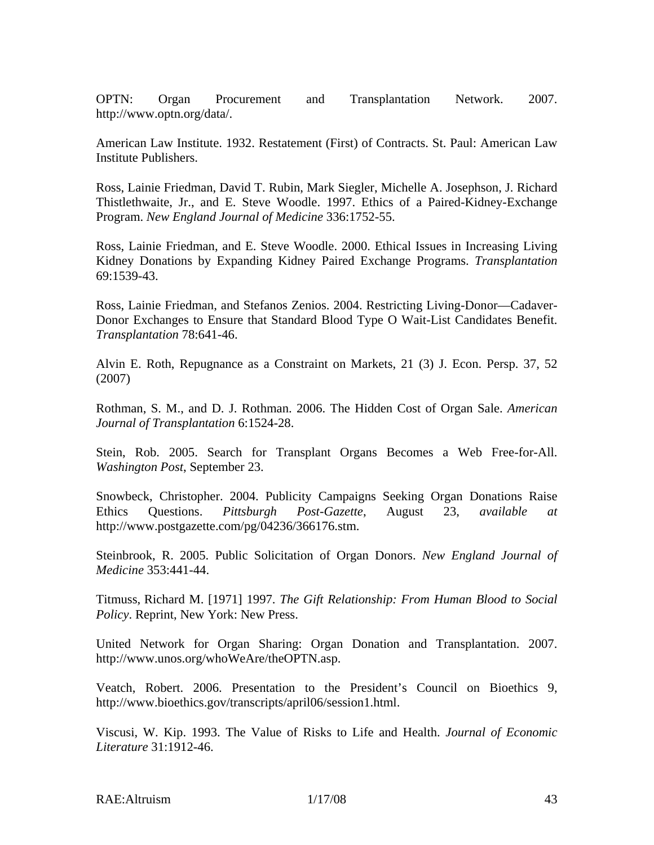OPTN: Organ Procurement and Transplantation Network. 2007. http://www.optn.org/data/.

American Law Institute. 1932. Restatement (First) of Contracts. St. Paul: American Law Institute Publishers.

Ross, Lainie Friedman, David T. Rubin, Mark Siegler, Michelle A. Josephson, J. Richard Thistlethwaite, Jr., and E. Steve Woodle. 1997. Ethics of a Paired-Kidney-Exchange Program. *New England Journal of Medicine* 336:1752-55.

Ross, Lainie Friedman, and E. Steve Woodle. 2000. Ethical Issues in Increasing Living Kidney Donations by Expanding Kidney Paired Exchange Programs. *Transplantation* 69:1539-43.

Ross, Lainie Friedman, and Stefanos Zenios. 2004. Restricting Living-Donor—Cadaver-Donor Exchanges to Ensure that Standard Blood Type O Wait-List Candidates Benefit. *Transplantation* 78:641-46.

Alvin E. Roth, Repugnance as a Constraint on Markets, 21 (3) J. Econ. Persp. 37, 52 (2007)

Rothman, S. M., and D. J. Rothman. 2006. The Hidden Cost of Organ Sale. *American Journal of Transplantation* 6:1524-28.

Stein, Rob. 2005. Search for Transplant Organs Becomes a Web Free-for-All. *Washington Post*, September 23.

Snowbeck, Christopher. 2004. Publicity Campaigns Seeking Organ Donations Raise Ethics Questions. *Pittsburgh Post-Gazette*, August 23, *available at*  http://www.postgazette.com/pg/04236/366176.stm.

Steinbrook, R. 2005. Public Solicitation of Organ Donors. *New England Journal of Medicine* 353:441-44.

Titmuss, Richard M. [1971] 1997. *The Gift Relationship: From Human Blood to Social Policy*. Reprint, New York: New Press.

United Network for Organ Sharing: Organ Donation and Transplantation. 2007. http://www.unos.org/whoWeAre/theOPTN.asp.

Veatch, Robert. 2006. Presentation to the President's Council on Bioethics 9, http://www.bioethics.gov/transcripts/april06/session1.html.

Viscusi, W. Kip. 1993. The Value of Risks to Life and Health. *Journal of Economic Literature* 31:1912-46.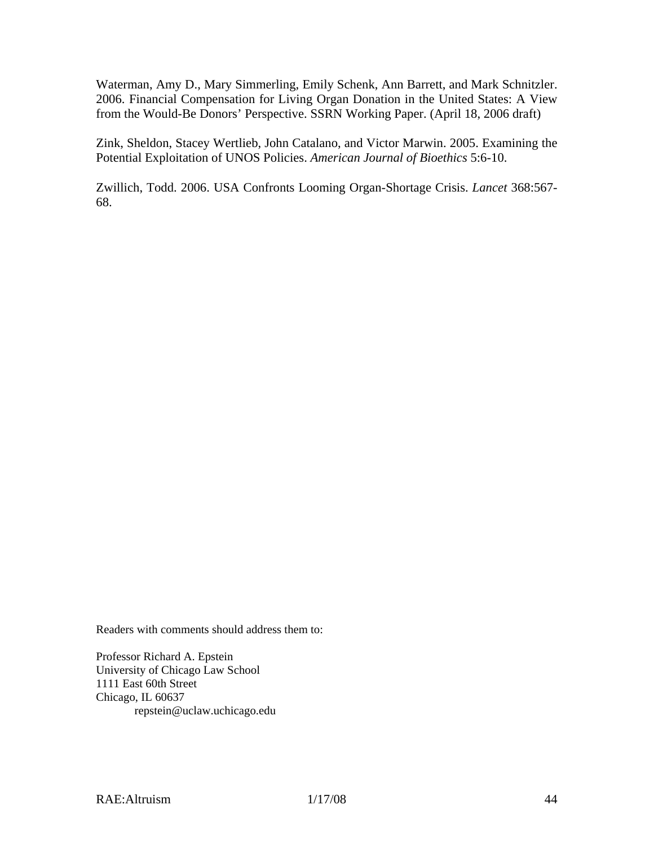Waterman, Amy D., Mary Simmerling, Emily Schenk, Ann Barrett, and Mark Schnitzler. 2006. Financial Compensation for Living Organ Donation in the United States: A View from the Would-Be Donors' Perspective. SSRN Working Paper. (April 18, 2006 draft)

Zink, Sheldon, Stacey Wertlieb, John Catalano, and Victor Marwin. 2005. Examining the Potential Exploitation of UNOS Policies. *American Journal of Bioethics* 5:6-10.

Zwillich, Todd. 2006. USA Confronts Looming Organ-Shortage Crisis. *Lancet* 368:567- 68.

Readers with comments should address them to:

Professor Richard A. Epstein University of Chicago Law School 1111 East 60th Street Chicago, IL 60637 repstein@uclaw.uchicago.edu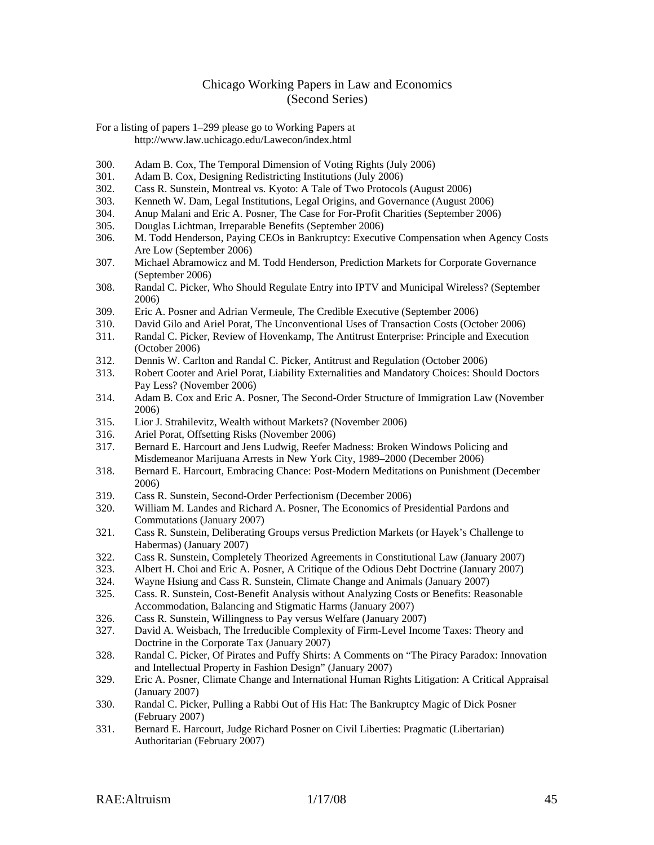#### Chicago Working Papers in Law and Economics (Second Series)

For a listing of papers 1–299 please go to Working Papers at http://www.law.uchicago.edu/Lawecon/index.html

- 300. Adam B. Cox, The Temporal Dimension of Voting Rights (July 2006)
- 301. Adam B. Cox, Designing Redistricting Institutions (July 2006)
- 302. Cass R. Sunstein, Montreal vs. Kyoto: A Tale of Two Protocols (August 2006)
- 303. Kenneth W. Dam, Legal Institutions, Legal Origins, and Governance (August 2006)
- 304. Anup Malani and Eric A. Posner, The Case for For-Profit Charities (September 2006)
- 305. Douglas Lichtman, Irreparable Benefits (September 2006)
- 306. M. Todd Henderson, Paying CEOs in Bankruptcy: Executive Compensation when Agency Costs Are Low (September 2006)
- 307. Michael Abramowicz and M. Todd Henderson, Prediction Markets for Corporate Governance (September 2006)
- 308. Randal C. Picker, Who Should Regulate Entry into IPTV and Municipal Wireless? (September 2006)
- 309. Eric A. Posner and Adrian Vermeule, The Credible Executive (September 2006)
- 310. David Gilo and Ariel Porat, The Unconventional Uses of Transaction Costs (October 2006)
- 311. Randal C. Picker, Review of Hovenkamp, The Antitrust Enterprise: Principle and Execution (October 2006)
- 312. Dennis W. Carlton and Randal C. Picker, Antitrust and Regulation (October 2006)
- 313. Robert Cooter and Ariel Porat, Liability Externalities and Mandatory Choices: Should Doctors Pay Less? (November 2006)
- 314. Adam B. Cox and Eric A. Posner, The Second-Order Structure of Immigration Law (November 2006)
- 315. Lior J. Strahilevitz, Wealth without Markets? (November 2006)
- 316. Ariel Porat, Offsetting Risks (November 2006)
- 317. Bernard E. Harcourt and Jens Ludwig, Reefer Madness: Broken Windows Policing and Misdemeanor Marijuana Arrests in New York City, 1989–2000 (December 2006)
- 318. Bernard E. Harcourt, Embracing Chance: Post-Modern Meditations on Punishment (December 2006)
- 319. Cass R. Sunstein, Second-Order Perfectionism (December 2006)
- 320. William M. Landes and Richard A. Posner, The Economics of Presidential Pardons and Commutations (January 2007)
- 321. Cass R. Sunstein, Deliberating Groups versus Prediction Markets (or Hayek's Challenge to Habermas) (January 2007)
- 322. Cass R. Sunstein, Completely Theorized Agreements in Constitutional Law (January 2007)
- 323. Albert H. Choi and Eric A. Posner, A Critique of the Odious Debt Doctrine (January 2007)
- 324. Wayne Hsiung and Cass R. Sunstein, Climate Change and Animals (January 2007)
- 325. Cass. R. Sunstein, Cost-Benefit Analysis without Analyzing Costs or Benefits: Reasonable Accommodation, Balancing and Stigmatic Harms (January 2007)
- 326. Cass R. Sunstein, Willingness to Pay versus Welfare (January 2007)
- 327. David A. Weisbach, The Irreducible Complexity of Firm-Level Income Taxes: Theory and Doctrine in the Corporate Tax (January 2007)
- 328. Randal C. Picker, Of Pirates and Puffy Shirts: A Comments on "The Piracy Paradox: Innovation and Intellectual Property in Fashion Design" (January 2007)
- 329. Eric A. Posner, Climate Change and International Human Rights Litigation: A Critical Appraisal (January 2007)
- 330. Randal C. Picker, Pulling a Rabbi Out of His Hat: The Bankruptcy Magic of Dick Posner (February 2007)
- 331. Bernard E. Harcourt, Judge Richard Posner on Civil Liberties: Pragmatic (Libertarian) Authoritarian (February 2007)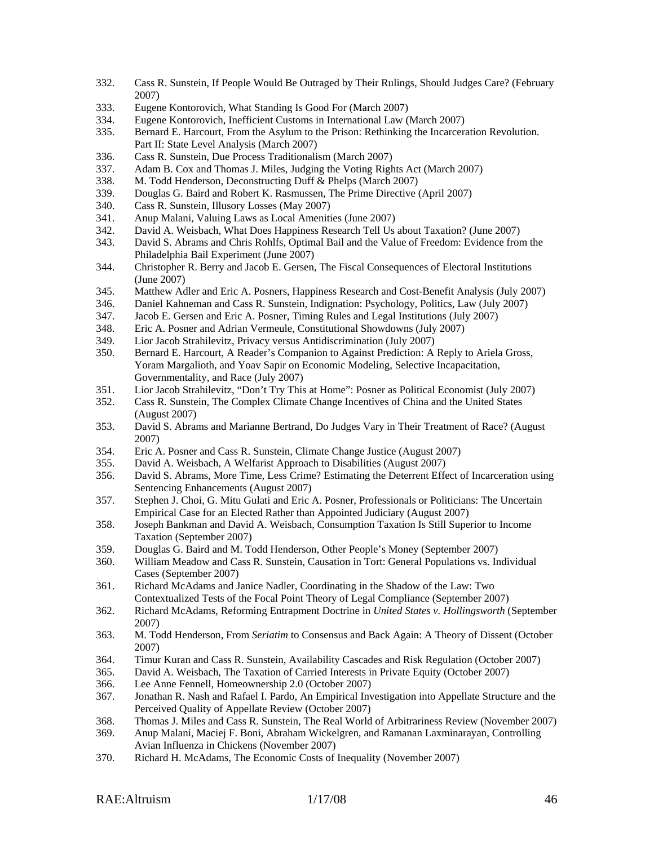- 332. Cass R. Sunstein, If People Would Be Outraged by Their Rulings, Should Judges Care? (February 2007)
- 333. Eugene Kontorovich, What Standing Is Good For (March 2007)
- 334. Eugene Kontorovich, Inefficient Customs in International Law (March 2007)
- 335. Bernard E. Harcourt, From the Asylum to the Prison: Rethinking the Incarceration Revolution. Part II: State Level Analysis (March 2007)
- 336. Cass R. Sunstein, Due Process Traditionalism (March 2007)
- 337. Adam B. Cox and Thomas J. Miles, Judging the Voting Rights Act (March 2007)
- 338. M. Todd Henderson, Deconstructing Duff & Phelps (March 2007)
- 339. Douglas G. Baird and Robert K. Rasmussen, The Prime Directive (April 2007)
- 340. Cass R. Sunstein, Illusory Losses (May 2007)
- 341. Anup Malani, Valuing Laws as Local Amenities (June 2007)
- 342. David A. Weisbach, What Does Happiness Research Tell Us about Taxation? (June 2007)
- 343. David S. Abrams and Chris Rohlfs, Optimal Bail and the Value of Freedom: Evidence from the Philadelphia Bail Experiment (June 2007)
- 344. Christopher R. Berry and Jacob E. Gersen, The Fiscal Consequences of Electoral Institutions (June 2007)
- 345. Matthew Adler and Eric A. Posners, Happiness Research and Cost-Benefit Analysis (July 2007)
- 346. Daniel Kahneman and Cass R. Sunstein, Indignation: Psychology, Politics, Law (July 2007)
- 347. Jacob E. Gersen and Eric A. Posner, Timing Rules and Legal Institutions (July 2007)
- 348. Eric A. Posner and Adrian Vermeule, Constitutional Showdowns (July 2007)
- 349. Lior Jacob Strahilevitz, Privacy versus Antidiscrimination (July 2007)
- 350. Bernard E. Harcourt, A Reader's Companion to Against Prediction: A Reply to Ariela Gross, Yoram Margalioth, and Yoav Sapir on Economic Modeling, Selective Incapacitation, Governmentality, and Race (July 2007)
- 351. Lior Jacob Strahilevitz, "Don't Try This at Home": Posner as Political Economist (July 2007)
- 352. Cass R. Sunstein, The Complex Climate Change Incentives of China and the United States (August 2007)
- 353. David S. Abrams and Marianne Bertrand, Do Judges Vary in Their Treatment of Race? (August 2007)
- 354. Eric A. Posner and Cass R. Sunstein, Climate Change Justice (August 2007)
- 355. David A. Weisbach, A Welfarist Approach to Disabilities (August 2007)
- 356. David S. Abrams, More Time, Less Crime? Estimating the Deterrent Effect of Incarceration using Sentencing Enhancements (August 2007)
- 357. Stephen J. Choi, G. Mitu Gulati and Eric A. Posner, Professionals or Politicians: The Uncertain Empirical Case for an Elected Rather than Appointed Judiciary (August 2007)
- 358. Joseph Bankman and David A. Weisbach, Consumption Taxation Is Still Superior to Income Taxation (September 2007)
- 359. Douglas G. Baird and M. Todd Henderson, Other People's Money (September 2007)
- 360. William Meadow and Cass R. Sunstein, Causation in Tort: General Populations vs. Individual Cases (September 2007)
- 361. Richard McAdams and Janice Nadler, Coordinating in the Shadow of the Law: Two Contextualized Tests of the Focal Point Theory of Legal Compliance (September 2007)
- 362. Richard McAdams, Reforming Entrapment Doctrine in *United States v. Hollingsworth* (September 2007)
- 363. M. Todd Henderson, From *Seriatim* to Consensus and Back Again: A Theory of Dissent (October 2007)
- 364. Timur Kuran and Cass R. Sunstein, Availability Cascades and Risk Regulation (October 2007)
- 365. David A. Weisbach, The Taxation of Carried Interests in Private Equity (October 2007)
- 366. Lee Anne Fennell, Homeownership 2.0 (October 2007)
- 367. Jonathan R. Nash and Rafael I. Pardo, An Empirical Investigation into Appellate Structure and the Perceived Quality of Appellate Review (October 2007)
- 368. Thomas J. Miles and Cass R. Sunstein, The Real World of Arbitrariness Review (November 2007)
- 369. Anup Malani, Maciej F. Boni, Abraham Wickelgren, and Ramanan Laxminarayan, Controlling Avian Influenza in Chickens (November 2007)
- 370. Richard H. McAdams, The Economic Costs of Inequality (November 2007)